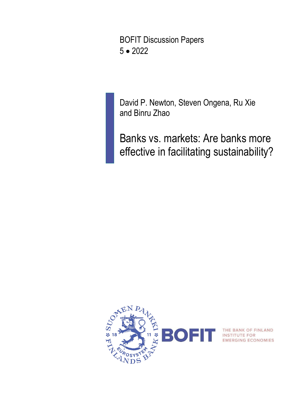BOFIT Discussion Papers 5 • 2022

David P. Newton, Steven Ongena, Ru Xie and Binru Zhao

Banks vs. markets: Are banks more effective in facilitating sustainability?



THE BANK OF FINLAND<br>INSTITUTE FOR<br>EMERGING ECONOMIES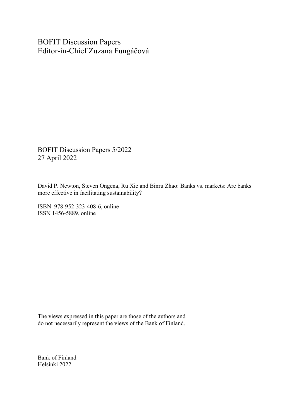BOFIT Discussion Papers Editor-in-Chief Zuzana Fungáčová

BOFIT Discussion Papers 5/2022 27 April 2022

David P. Newton, Steven Ongena, Ru Xie and Binru Zhao: Banks vs. markets: Are banks more effective in facilitating sustainability?

ISBN 978-952-323-408-6, online ISSN 1456-5889, online

The views expressed in this paper are those of the authors and do not necessarily represent the views of the Bank of Finland.

Bank of Finland Helsinki 2022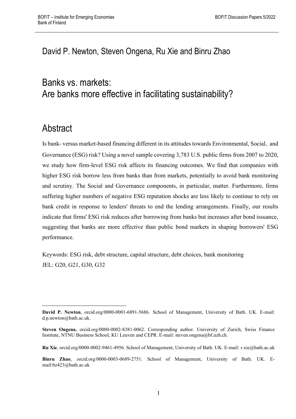## David P. Newton, Steven Ongena, Ru Xie and Binru Zhao

# Banks vs. markets: Are banks more effective in facilitating sustainability?

# **Abstract**

Is bank- versus market-based financing different in its attitudes towards Environmental, Social, and Governance (ESG) risk? Using a novel sample covering 3,783 U.S. public firms from 2007 to 2020, we study how firm-level ESG risk affects its financing outcomes. We find that companies with higher ESG risk borrow less from banks than from markets, potentially to avoid bank monitoring and scrutiny. The Social and Governance components, in particular, matter. Furthermore, firms suffering higher numbers of negative ESG reputation shocks are less likely to continue to rely on bank credit in response to lenders' threats to end the lending arrangements. Finally, our results indicate that firms' ESG risk reduces after borrowing from banks but increases after bond issuance, suggesting that banks are more effective than public bond markets in shaping borrowers' ESG performance.

Keywords: ESG risk, debt structure, capital structure, debt choices, bank monitoring JEL: G20, G21, G30, G32

**Ru Xie**, orcid.org/0000-0002-9461-4956. School of Management, University of Bath. UK. E-mail: r.xie@bath.ac.uk

**David P. Newton**, orcid.org/0000-0001-6891-5686. School of Management, University of Bath. UK. E-mail: [d.p.newton@bath.ac.uk.](mailto:d.p.newton@bath.ac.uk)

**Steven Ongena**, orcid.org/0000-0002-8381-0062. Corresponding author. University of Zurich, Swiss Finance Institute, NTNU Business School, KU Leuven and CEPR. E-mail: steven.ongena@bf.uzh.ch.

**Binru Zhao**, orcid.org/0000-0003-0689-2751. School of Management, University of Bath. UK. Email:bz423@bath.ac.uk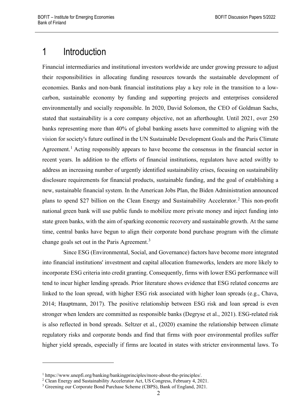# 1 Introduction

Financial intermediaries and institutional investors worldwide are under growing pressure to adjust their responsibilities in allocating funding resources towards the sustainable development of economies. Banks and non-bank financial institutions play a key role in the transition to a lowcarbon, sustainable economy by funding and supporting projects and enterprises considered environmentally and socially responsible. In 2020, David Solomon, the CEO of Goldman Sachs, stated that sustainability is a core company objective, not an afterthought. Until 2021, over 250 banks representing more than 40% of global banking assets have committed to aligning with the vision for society's future outlined in the UN Sustainable Development Goals and the Paris Climate Agreement.<sup>[1](#page-3-0)</sup> Acting responsibly appears to have become the consensus in the financial sector in recent years. In addition to the efforts of financial institutions, regulators have acted swiftly to address an increasing number of urgently identified sustainability crises, focusing on sustainability disclosure requirements for financial products, sustainable funding, and the goal of establishing a new, sustainable financial system. In the American Jobs Plan, the Biden Administration announced plans to spend \$[2](#page-3-1)7 billion on the Clean Energy and Sustainability Accelerator.<sup>2</sup> This non-profit national green bank will use public funds to mobilize more private money and inject funding into state green banks, with the aim of sparking economic recovery and sustainable growth. At the same time, central banks have begun to align their corporate bond purchase program with the climate change goals set out in the Paris Agreement.<sup>[3](#page-3-2)</sup>

Since ESG (Environmental, Social, and Governance) factors have become more integrated into financial institutions' investment and capital allocation frameworks, lenders are more likely to incorporate ESG criteria into credit granting. Consequently, firms with lower ESG performance will tend to incur higher lending spreads. Prior literature shows evidence that ESG related concerns are linked to the loan spread, with higher ESG risk associated with higher loan spreads (e.g., Chava, 2014; Hauptmann, 2017). The positive relationship between ESG risk and loan spread is even stronger when lenders are committed as responsible banks (Degryse et al., 2021). ESG-related risk is also reflected in bond spreads. Seltzer et al., (2020) examine the relationship between climate regulatory risks and corporate bonds and find that firms with poor environmental profiles suffer higher yield spreads, especially if firms are located in states with stricter environmental laws. To

<span id="page-3-0"></span><sup>1</sup> https://www.unepfi.org/banking/bankingprinciples/more-about-the-principles/.

<span id="page-3-1"></span><sup>&</sup>lt;sup>2</sup> Clean Energy and Sustainability Accelerator Act, US Congress, February 4, 2021.

<span id="page-3-2"></span><sup>&</sup>lt;sup>3</sup> Greening our Corporate Bond Purchase Scheme (CBPS), Bank of England, 2021.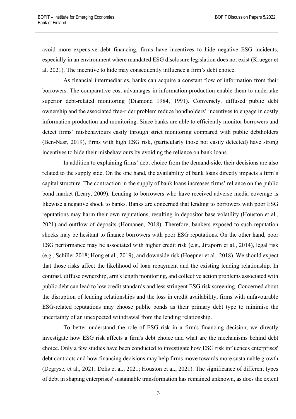avoid more expensive debt financing, firms have incentives to hide negative ESG incidents, especially in an environment where mandated ESG disclosure legislation does not exist (Krueger et al. 2021). The incentive to hide may consequently influence a firm's debt choice.

As financial intermediaries, banks can acquire a constant flow of information from their borrowers. The comparative cost advantages in information production enable them to undertake superior debt-related monitoring (Diamond 1984, 1991). Conversely, diffused public debt ownership and the associated free-rider problem reduce bondholders' incentives to engage in costly information production and monitoring. Since banks are able to efficiently monitor borrowers and detect firms' misbehaviours easily through strict monitoring compared with public debtholders (Ben-Nasr, 2019), firms with high ESG risk, (particularly those not easily detected) have strong incentives to hide their misbehaviours by avoiding the reliance on bank loans.

In addition to explaining firms' debt choice from the demand-side, their decisions are also related to the supply side. On the one hand, the availability of bank loans directly impacts a firm's capital structure. The contraction in the supply of bank loans increases firms' reliance on the public bond market (Leary, 2009). Lending to borrowers who have received adverse media coverage is likewise a negative shock to banks. Banks are concerned that lending to borrowers with poor ESG reputations may harm their own reputations, resulting in depositor base volatility (Houston et al., 2021) and outflow of deposits (Homanen, 2018). Therefore, bankers exposed to such reputation shocks may be hesitant to finance borrowers with poor ESG reputations. On the other hand, poor ESG performance may be associated with higher credit risk (e.g., Jiraporn et al., 2014), legal risk (e.g., Schiller 2018; Hong et al., 2019), and downside risk (Hoepner et al., 2018). We should expect that those risks affect the likelihood of loan repayment and the existing lending relationship. In contrast, diffuse ownership, arm's length monitoring, and collective action problems associated with public debt can lead to low credit standards and less stringent ESG risk screening. Concerned about the disruption of lending relationships and the loss in credit availability, firms with unfavourable ESG-related reputations may choose public bonds as their primary debt type to minimise the uncertainty of an unexpected withdrawal from the lending relationship.

To better understand the role of ESG risk in a firm's financing decision, we directly investigate how ESG risk affects a firm's debt choice and what are the mechanisms behind debt choice. Only a few studies have been conducted to investigate how ESG risk influences enterprises' debt contracts and how financing decisions may help firms move towards more sustainable growth (Degryse, et al., 2021; Delis et al., 2021; Houston et al., 2021). The significance of different types of debt in shaping enterprises' sustainable transformation has remained unknown, as does the extent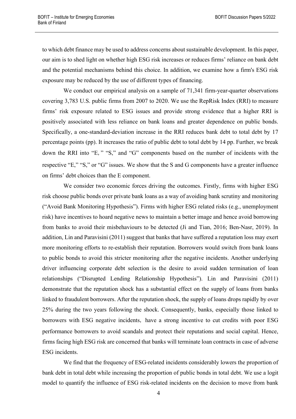to which debt finance may be used to address concerns about sustainable development. In this paper, our aim is to shed light on whether high ESG risk increases or reduces firms' reliance on bank debt and the potential mechanisms behind this choice. In addition, we examine how a firm's ESG risk exposure may be reduced by the use of different types of financing.

We conduct our empirical analysis on a sample of 71,341 firm-year-quarter observations covering 3,783 U.S. public firms from 2007 to 2020. We use the RepRisk Index (RRI) to measure firms' risk exposure related to ESG issues and provide strong evidence that a higher RRI is positively associated with less reliance on bank loans and greater dependence on public bonds. Specifically, a one-standard-deviation increase in the RRI reduces bank debt to total debt by 17 percentage points (pp). It increases the ratio of public debt to total debt by 14 pp. Further, we break down the RRI into "E," "S," and "G" components based on the number of incidents with the respective "E," "S," or "G" issues. We show that the S and G components have a greater influence on firms' debt choices than the E component.

We consider two economic forces driving the outcomes. Firstly, firms with higher ESG risk choose public bonds over private bank loans as a way of avoiding bank scrutiny and monitoring ("Avoid Bank Monitoring Hypothesis"). Firms with higher ESG related risks (e.g., unemployment risk) have incentives to hoard negative news to maintain a better image and hence avoid borrowing from banks to avoid their misbehaviours to be detected (Ji and Tian, 2016; Ben-Nasr, 2019). In addition, Lin and Paravisini (2011) suggest that banks that have suffered a reputation loss may exert more monitoring efforts to re-establish their reputation. Borrowers would switch from bank loans to public bonds to avoid this stricter monitoring after the negative incidents. Another underlying driver influencing corporate debt selection is the desire to avoid sudden termination of loan relationships ("Disrupted Lending Relationship Hypothesis"). Lin and Paravisini (2011) demonstrate that the reputation shock has a substantial effect on the supply of loans from banks linked to fraudulent borrowers. After the reputation shock, the supply of loans drops rapidly by over 25% during the two years following the shock. Consequently, banks, especially those linked to borrowers with ESG negative incidents, have a strong incentive to cut credits with poor ESG performance borrowers to avoid scandals and protect their reputations and social capital. Hence, firms facing high ESG risk are concerned that banks will terminate loan contracts in case of adverse ESG incidents.

We find that the frequency of ESG-related incidents considerably lowers the proportion of bank debt in total debt while increasing the proportion of public bonds in total debt. We use a logit model to quantify the influence of ESG risk-related incidents on the decision to move from bank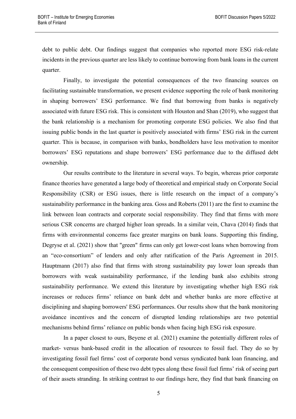debt to public debt. Our findings suggest that companies who reported more ESG risk-relate incidents in the previous quarter are less likely to continue borrowing from bank loans in the current quarter.

Finally, to investigate the potential consequences of the two financing sources on facilitating sustainable transformation, we present evidence supporting the role of bank monitoring in shaping borrowers' ESG performance. We find that borrowing from banks is negatively associated with future ESG risk. This is consistent with Houston and Shan (2019), who suggest that the bank relationship is a mechanism for promoting corporate ESG policies. We also find that issuing public bonds in the last quarter is positively associated with firms' ESG risk in the current quarter. This is because, in comparison with banks, bondholders have less motivation to monitor borrowers' ESG reputations and shape borrowers' ESG performance due to the diffused debt ownership.

Our results contribute to the literature in several ways. To begin, whereas prior corporate finance theories have generated a large body of theoretical and empirical study on Corporate Social Responsibility (CSR) or ESG issues, there is little research on the impact of a company's sustainability performance in the banking area. Goss and Roberts (2011) are the first to examine the link between loan contracts and corporate social responsibility. They find that firms with more serious CSR concerns are charged higher loan spreads. In a similar vein, Chava (2014) finds that firms with environmental concerns face greater margins on bank loans. Supporting this finding, Degryse et al. (2021) show that "green" firms can only get lower-cost loans when borrowing from an "eco-consortium" of lenders and only after ratification of the Paris Agreement in 2015. Hauptmann (2017) also find that firms with strong sustainability pay lower loan spreads than borrowers with weak sustainability performance, if the lending bank also exhibits strong sustainability performance. We extend this literature by investigating whether high ESG risk increases or reduces firms' reliance on bank debt and whether banks are more effective at disciplining and shaping borrowers' ESG performances. Our results show that the bank monitoring avoidance incentives and the concern of disrupted lending relationships are two potential mechanisms behind firms' reliance on public bonds when facing high ESG risk exposure.

In a paper closest to ours, Beyene et al. (2021) examine the potentially different roles of market- versus bank-based credit in the allocation of resources to fossil fuel. They do so by investigating fossil fuel firms' cost of corporate bond versus syndicated bank loan financing, and the consequent composition of these two debt types along these fossil fuel firms' risk of seeing part of their assets stranding. In striking contrast to our findings here, they find that bank financing on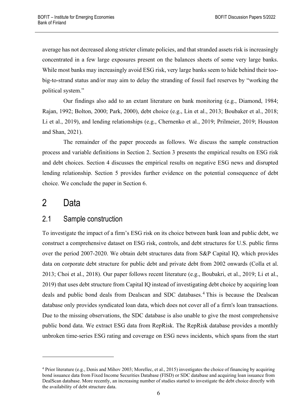average has not decreased along stricter climate policies, and that stranded assets risk is increasingly concentrated in a few large exposures present on the balances sheets of some very large banks. While most banks may increasingly avoid ESG risk, very large banks seem to hide behind their toobig-to-strand status and/or may aim to delay the stranding of fossil fuel reserves by "working the political system."

Our findings also add to an extant literature on bank monitoring (e.g., Diamond, 1984; Rajan, 1992; Bolton, 2000; Park, 2000), debt choice (e.g., Lin et al., 2013; Boubaker et al., 2018; Li et al., 2019), and lending relationships (e.g., Chernenko et al., 2019; Prilmeier, 2019; Houston and Shan, 2021).

The remainder of the paper proceeds as follows. We discuss the sample construction process and variable definitions in Section 2. Section 3 presents the empirical results on ESG risk and debt choices. Section 4 discusses the empirical results on negative ESG news and disrupted lending relationship. Section 5 provides further evidence on the potential consequence of debt choice. We conclude the paper in Section 6.

# 2 Data

## 2.1 Sample construction

To investigate the impact of a firm's ESG risk on its choice between bank loan and public debt, we construct a comprehensive dataset on ESG risk, controls, and debt structures for U.S. public firms over the period 2007-2020. We obtain debt structures data from S&P Capital IQ, which provides data on corporate debt structure for public debt and private debt from 2002 onwards (Colla et al. 2013; Choi et al., 2018). Our paper follows recent literature (e.g., Boubakri, et al., 2019; Li et al., 2019) that uses debt structure from Capital IQ instead of investigating debt choice by acquiring loan deals and public bond deals from Dealscan and SDC databases. [4](#page-7-0) This is because the Dealscan database only provides syndicated loan data, which does not cover all of a firm's loan transactions. Due to the missing observations, the SDC database is also unable to give the most comprehensive public bond data. We extract ESG data from RepRisk. The RepRisk database provides a monthly unbroken time-series ESG rating and coverage on ESG news incidents, which spans from the start

<span id="page-7-0"></span><sup>4</sup> Prior literature (e.g., Denis and Mihov 2003; Morellec, et al., 2015) investigates the choice of financing by acquiring bond issuance data from Fixed Income Securities Database (FISD) or SDC database and acquiring loan issuance from DealScan database. More recently, an increasing number of studies started to investigate the debt choice directly with the availability of debt structure data.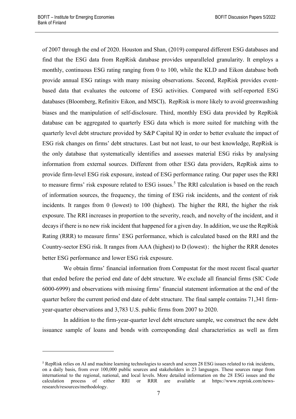of 2007 through the end of 2020. Houston and Shan, (2019) compared different ESG databases and find that the ESG data from RepRisk database provides unparalleled granularity. It employs a monthly, continuous ESG rating ranging from 0 to 100, while the KLD and Eikon database both provide annual ESG ratings with many missing observations. Second, RepRisk provides eventbased data that evaluates the outcome of ESG activities. Compared with self-reported ESG databases (Bloomberg, Refinitiv Eikon, and MSCI), RepRisk is more likely to avoid greenwashing biases and the manipulation of self-disclosure. Third, monthly ESG data provided by RepRisk database can be aggregated to quarterly ESG data which is more suited for matching with the quarterly level debt structure provided by S&P Capital IQ in order to better evaluate the impact of ESG risk changes on firms' debt structures. Last but not least, to our best knowledge, RepRisk is the only database that systematically identifies and assesses material ESG risks by analysing information from external sources. Different from other ESG data providers, RepRisk aims to provide firm-level ESG risk exposure, instead of ESG performance rating. Our paper uses the RRI to measure firms' risk exposure related to ESG issues.<sup>[5](#page-8-0)</sup> The RRI calculation is based on the reach of information sources, the frequency, the timing of ESG risk incidents, and the content of risk incidents. It ranges from 0 (lowest) to 100 (highest). The higher the RRI, the higher the risk exposure. The RRI increases in proportion to the severity, reach, and novelty of the incident, and it decays if there is no new risk incident that happened for a given day. In addition, we use the RepRisk Rating (RRR) to measure firms' ESG performance, which is calculated based on the RRI and the Country-sector ESG risk. It ranges from AAA (highest) to D (lowest); the higher the RRR denotes better ESG performance and lower ESG risk exposure.

We obtain firms' financial information from Compustat for the most recent fiscal quarter that ended before the period end date of debt structure. We exclude all financial firms (SIC Code 6000-6999) and observations with missing firms' financial statement information at the end of the quarter before the current period end date of debt structure. The final sample contains 71,341 firmyear-quarter observations and 3,783 U.S. public firms from 2007 to 2020.

In addition to the firm-year-quarter level debt structure sample, we construct the new debt issuance sample of loans and bonds with corresponding deal characteristics as well as firm

<span id="page-8-0"></span><sup>&</sup>lt;sup>5</sup> RepRisk relies on AI and machine learning technologies to search and screen 28 ESG issues related to risk incidents, on a daily basis, from over 100,000 public sources and stakeholders in 23 languages. These sources range from international to the regional, national, and local levels. More detailed information on the 28 ESG issues and the calculation process of either RRI or RRR are available at https://www.reprisk.com/newsresearch/resources/methodology.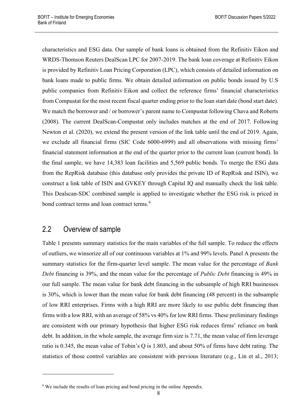characteristics and ESG data. Our sample of bank loans is obtained from the Refinitiv Eikon and WRDS-Thomson Reuters DealScan LPC for 2007-2019. The bank loan coverage at Refinitiv Eikon is provided by Refinitiv Loan Pricing Corporation (LPC), which consists of detailed information on bank loans made to public firms. We obtain detailed information on public bonds issued by U.S public companies from Refinitiv Eikon and collect the reference firms' financial characteristics from Compustat for the most recent fiscal quarter ending prior to the loan start date (bond start date). We match the borrower and / or borrower's parent name to Compustat following Chava and Roberts (2008). The current DealScan-Compustat only includes matches at the end of 2017. Following Newton et al. (2020), we extend the present version of the link table until the end of 2019. Again, we exclude all financial firms (SIC Code 6000-6999) and all observations with missing firms' financial statement information at the end of the quarter prior to the current loan (current bond). In the final sample, we have 14,383 loan facilities and 5,569 public bonds. To merge the ESG data from the RepRisk database (this database only provides the private ID of RepRisk and ISIN), we construct a link table of ISIN and GVKEY through Capital IQ and manually check the link table. This Dealscan-SDC combined sample is applied to investigate whether the ESG risk is priced in bond contract terms and loan contract terms.<sup>[6](#page-9-0)</sup>

## 2.2 Overview of sample

Table 1 presents summary statistics for the main variables of the full sample. To reduce the effects of outliers, we winsorize all of our continuous variables at 1% and 99% levels. Panel A presents the summary statistics for the firm-quarter level sample. The mean value for the percentage of *Bank Debt* financing is 39%, and the mean value for the percentage of *Public Debt* financing is 49% in our full sample. The mean value for bank debt financing in the subsample of high RRI businesses is 30%, which is lower than the mean value for bank debt financing (48 percent) in the subsample of low RRI enterprises. Firms with a high RRI are more likely to use public debt financing than firms with a low RRI, with an average of 58% vs 40% for low RRI firms. These preliminary findings are consistent with our primary hypothesis that higher ESG risk reduces firms' reliance on bank debt. In addition, in the whole sample, the average firm size is 7.71, the mean value of firm leverage ratio is 0.345, the mean value of Tobin's Q is 1.803, and about 50% of firms have debt rating. The statistics of those control variables are consistent with previous literature (e.g., Lin et al., 2013;

<span id="page-9-0"></span><sup>&</sup>lt;sup>6</sup> We include the results of loan pricing and bond pricing in the online Appendix.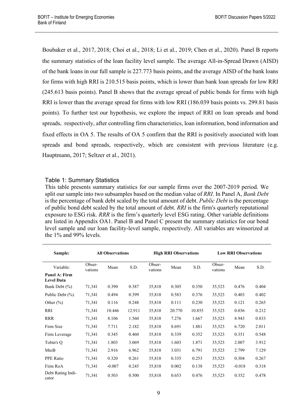Boubaker et al., 2017,2018; Choi et al., 2018; Li et al., 2019; Chen et al., 2020). Panel B reports the summary statistics of the loan facility level sample. The average All-in-Spread Drawn (AISD) of the bank loans in our full sample is 227.773 basis points, and the average AISD of the bank loans for firms with high RRI is 210.515 basis points, which is lower than bank loan spreads for low RRI (245.613 basis points). Panel B shows that the average spread of public bonds for firms with high RRI is lower than the average spread for firms with low RRI (186.039 basis points vs. 299.81 basis points). To further test our hypothesis, we explore the impact of RRI on loan spreads and bond spreads, respectively, after controlling firm characteristics, loan information, bond information and fixed effects in OA 5. The results of OA 5 confirm that the RRI is positively associated with loan spreads and bond spreads, respectively, which are consistent with previous literature (e.g. Hauptmann, 2017; Seltzer et al., 2021).

### Table 1: Summary Statistics

This table presents summary statistics for our sample firms over the 2007-2019 period. We split our sample into two subsamples based on the median value of *RRI*. In Panel A, *Bank Debt*  is the percentage of bank debt scaled by the total amount of debt. *Public Debt* is the percentage of public bond debt scaled by the total amount of debt. *RRI* is the firm's quarterly reputational exposure to ESG risk. *RRR* is the firm's quarterly level ESG rating. Other variable definitions are listed in Appendix OA1. Panel B and Panel C present the summary statistics for our bond level sample and our loan facility-level sample, respectively. All variables are winsorized at the 1% and 99% levels.

| Sample:                            | <b>All Observations</b> |          |        | <b>High RRI Observations</b> |        | <b>Low RRI Observations</b> |                   |          |       |
|------------------------------------|-------------------------|----------|--------|------------------------------|--------|-----------------------------|-------------------|----------|-------|
| Variable:                          | Obser-<br>vations       | Mean     | S.D.   | Obser-<br>vations            | Mean   | S.D.                        | Obser-<br>vations | Mean     | S.D.  |
| Panel A: Firm<br><b>Level Data</b> |                         |          |        |                              |        |                             |                   |          |       |
| Bank Debt (%)                      | 71,341                  | 0.390    | 0.387  | 35,818                       | 0.305  | 0.350                       | 35,523            | 0.476    | 0.404 |
| Public Debt (%)                    | 71,341                  | 0.494    | 0.399  | 35,818                       | 0.583  | 0.376                       | 35,523            | 0.403    | 0.402 |
| Other $(\% )$                      | 71,341                  | 0.116    | 0.248  | 35,818                       | 0.111  | 0.230                       | 35,523            | 0.121    | 0.265 |
| RRI                                | 71,341                  | 10.446   | 12.911 | 35,818                       | 20.770 | 10.855                      | 35,523            | 0.036    | 0.212 |
| <b>RRR</b>                         | 71,341                  | 8.106    | 1.560  | 35,818                       | 7.276  | 1.667                       | 35,523            | 8.943    | 0.833 |
| Firm Size                          | 71,341                  | 7.711    | 2.182  | 35,818                       | 8.691  | 1.881                       | 35,523            | 6.720    | 2.011 |
| Firm Leverage                      | 71,341                  | 0.345    | 0.460  | 35,818                       | 0.339  | 0.352                       | 35,523            | 0.351    | 0.548 |
| Tobin's Q                          | 71,341                  | 1.803    | 3.069  | 35,818                       | 1.603  | 1.871                       | 35,523            | 2.007    | 3.912 |
| MtoB                               | 71,341                  | 2.916    | 6.962  | 35,818                       | 3.031  | 6.791                       | 35,523            | 2.799    | 7.129 |
| PPE Ratio                          | 71,341                  | 0.320    | 0.261  | 35,818                       | 0.335  | 0.253                       | 35,523            | 0.304    | 0.267 |
| Firm RoA                           | 71,341                  | $-0.007$ | 0.245  | 35,818                       | 0.002  | 0.138                       | 35,523            | $-0.018$ | 0.318 |
| Debt Rating Indi-<br>cator         | 71,341                  | 0.503    | 0.500  | 35,818                       | 0.653  | 0.476                       | 35,523            | 0.352    | 0.478 |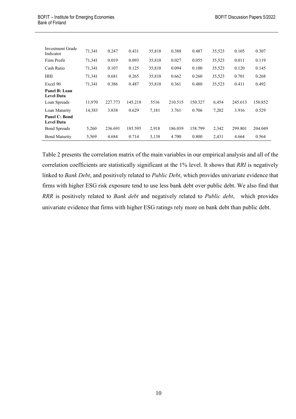| Investment Grade<br>Indicator      | 71,341 | 0.247   | 0.431   | 35,818 | 0.388   | 0.487   | 35,523 | 0.105   | 0.307   |
|------------------------------------|--------|---------|---------|--------|---------|---------|--------|---------|---------|
| Firm Profit                        | 71,341 | 0.019   | 0.093   | 35,818 | 0.027   | 0.055   | 35,523 | 0.011   | 0.119   |
| Cash Ratio                         | 71,341 | 0.107   | 0.125   | 35,818 | 0.094   | 0.100   | 35,523 | 0.120   | 0.145   |
| HHI                                | 71,341 | 0.681   | 0.265   | 35,818 | 0.662   | 0.260   | 35,523 | 0.701   | 0.268   |
| Excel 90                           | 71,341 | 0.386   | 0.487   | 35,818 | 0.361   | 0.480   | 35,523 | 0.411   | 0.492   |
| Panel B: Loan<br><b>Level Data</b> |        |         |         |        |         |         |        |         |         |
| Loan Spreads                       | 11,970 | 227.773 | 145.218 | 5516   | 210.515 | 150.327 | 6,454  | 245.613 | 150.852 |
| Loan Maturity                      | 14,383 | 3.838   | 0.629   | 7,181  | 3.761   | 0.706   | 7,202  | 3.916   | 0.529   |
| Panel C: Bond<br><b>Level Data</b> |        |         |         |        |         |         |        |         |         |
| <b>Bond Spreads</b>                | 5,260  | 236.691 | 185.595 | 2,918  | 186.039 | 158.799 | 2,342  | 299.801 | 204.049 |
| <b>Bond Maturity</b>               | 5,569  | 4.684   | 0.714   | 3,138  | 4.700   | 0.800   | 2,431  | 4.664   | 0.564   |

Table 2 presents the correlation matrix of the main variables in our empirical analysis and all of the correlation coefficients are statistically significant at the 1% level. It shows that *RRI* is negatively linked to *Bank Debt*, and positively related to *Public Debt*, which provides univariate evidence that firms with higher ESG risk exposure tend to use less bank debt over public debt. We also find that *RRR* is positively related to *Bank debt* and negatively related to *Public debt*, which provides univariate evidence that firms with higher ESG ratings rely more on bank debt than public debt.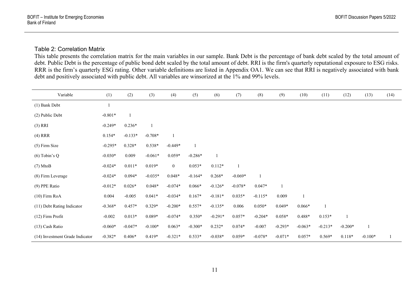### Table 2: Correlation Matrix

This table presents the correlation matrix for the main variables in our sample. Bank Debt is the percentage of bank debt scaled by the total amount of debt. Public Debt is the percentage of public bond debt scaled by the total amount of debt. RRI is the firm's quarterly reputational exposure to ESG risks. RRR is the firm's quarterly ESG rating. Other variable definitions are listed in Appendix OA1. We can see that RRI is negatively associated with bank debt and positively associated with public debt. All variables are winsorized at the 1% and 99% levels.

| Variable                        | (1)       | (2)       | (3)       | (4)            | (5)       | (6)       | (7)       | (8)       | (9)       | (10)         | (11)      | (12)      | (13)      | (14) |
|---------------------------------|-----------|-----------|-----------|----------------|-----------|-----------|-----------|-----------|-----------|--------------|-----------|-----------|-----------|------|
| (1) Bank Debt                   |           |           |           |                |           |           |           |           |           |              |           |           |           |      |
| (2) Public Debt                 | $-0.801*$ |           |           |                |           |           |           |           |           |              |           |           |           |      |
| $(3)$ RRI                       | $-0.249*$ | $0.236*$  |           |                |           |           |           |           |           |              |           |           |           |      |
| $(4)$ RRR                       | $0.154*$  | $-0.133*$ | $-0.708*$ | $\overline{1}$ |           |           |           |           |           |              |           |           |           |      |
| (5) Firm Size                   | $-0.295*$ | $0.328*$  | $0.538*$  | $-0.449*$      |           |           |           |           |           |              |           |           |           |      |
| $(6)$ Tobin's Q                 | $-0.030*$ | 0.009     | $-0.061*$ | $0.059*$       | $-0.286*$ |           |           |           |           |              |           |           |           |      |
| $(7)$ MtoB                      | $-0.024*$ | $0.011*$  | $0.019*$  | $\overline{0}$ | $0.053*$  | $0.112*$  |           |           |           |              |           |           |           |      |
| (8) Firm Leverage               | $-0.024*$ | $0.094*$  | $-0.035*$ | $0.048*$       | $-0.164*$ | $0.268*$  | $-0.069*$ |           |           |              |           |           |           |      |
| (9) PPE Ratio                   | $-0.012*$ | $0.026*$  | $0.048*$  | $-0.074*$      | $0.066*$  | $-0.126*$ | $-0.078*$ | $0.047*$  |           |              |           |           |           |      |
| $(10)$ Firm RoA                 | 0.004     | $-0.005$  | $0.041*$  | $-0.034*$      | $0.167*$  | $-0.181*$ | $0.035*$  | $-0.115*$ | 0.009     | $\mathbf{1}$ |           |           |           |      |
| (11) Debt Rating Indicator      | $-0.368*$ | $0.457*$  | $0.329*$  | $-0.200*$      | $0.557*$  | $-0.135*$ | 0.006     | $0.050*$  | $0.049*$  | $0.066*$     |           |           |           |      |
| (12) Firm Profit                | $-0.002$  | $0.013*$  | $0.089*$  | $-0.074*$      | $0.350*$  | $-0.291*$ | $0.057*$  | $-0.204*$ | $0.058*$  | $0.488*$     | $0.153*$  |           |           |      |
| (13) Cash Ratio                 | $-0.060*$ | $-0.047*$ | $-0.100*$ | $0.063*$       | $-0.300*$ | $0.232*$  | $0.074*$  | $-0.007$  | $-0.293*$ | $-0.063*$    | $-0.213*$ | $-0.200*$ |           |      |
| (14) Investment Grade Indicator | $-0.382*$ | $0.406*$  | $0.419*$  | $-0.321*$      | $0.533*$  | $-0.038*$ | $0.059*$  | $-0.078*$ | $-0.071*$ | $0.057*$     | $0.569*$  | $0.118*$  | $-0.100*$ |      |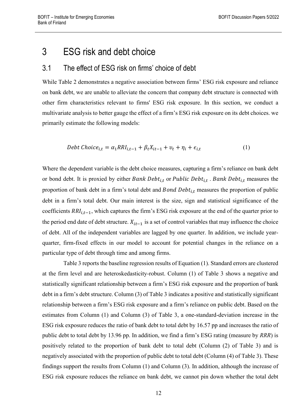## 3 ESG risk and debt choice

## 3.1 The effect of ESG risk on firms' choice of debt

While Table 2 demonstrates a negative association between firms' ESG risk exposure and reliance on bank debt, we are unable to alleviate the concern that company debt structure is connected with other firm characteristics relevant to firms' ESG risk exposure. In this section, we conduct a multivariate analysis to better gauge the effect of a firm's ESG risk exposure on its debt choices. we primarily estimate the following models:

$$
Debt Choice_{i,t} = \alpha_1 RRI_{i,t-1} + \beta_t X_{it-1} + v_t + \eta_i + \epsilon_{i,t}
$$
\n<sup>(1)</sup>

Where the dependent variable is the debt choice measures, capturing a firm's reliance on bank debt or bond debt. It is proxied by either Bank Debt<sub>i,t</sub> or Public Debt<sub>i,t</sub>. Bank Debt<sub>i,t</sub> measures the proportion of bank debt in a firm's total debt and  $Bond \; Debt_{i,t}$  measures the proportion of public debt in a firm's total debt. Our main interest is the size, sign and statistical significance of the coefficients  $RRI_{i,t-1}$ , which captures the firm's ESG risk exposure at the end of the quarter prior to the period end date of debt structure.  $X_{it-1}$  is a set of control variables that may influence the choice of debt. All of the independent variables are lagged by one quarter. In addition, we include yearquarter, firm-fixed effects in our model to account for potential changes in the reliance on a particular type of debt through time and among firms.

Table 3 reports the baseline regression results of Equation (1). Standard errors are clustered at the firm level and are heteroskedasticity-robust. Column (1) of Table 3 shows a negative and statistically significant relationship between a firm's ESG risk exposure and the proportion of bank debt in a firm's debt structure. Column (3) of Table 3 indicates a positive and statistically significant relationship between a firm's ESG risk exposure and a firm's reliance on public debt. Based on the estimates from Column (1) and Column (3) of Table 3, a one-standard-deviation increase in the ESG risk exposure reduces the ratio of bank debt to total debt by 16.57 pp and increases the ratio of public debt to total debt by 13.96 pp. In addition, we find a firm's ESG rating (measure by *RRR*) is positively related to the proportion of bank debt to total debt (Column (2) of Table 3) and is negatively associated with the proportion of public debt to total debt (Column (4) of Table 3). These findings support the results from Column (1) and Column (3). In addition, although the increase of ESG risk exposure reduces the reliance on bank debt, we cannot pin down whether the total debt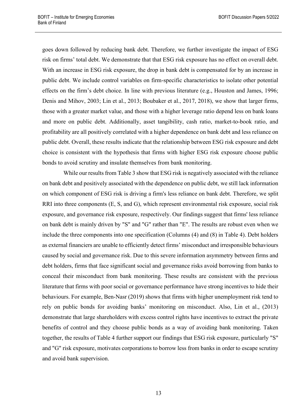goes down followed by reducing bank debt. Therefore, we further investigate the impact of ESG risk on firms' total debt. We demonstrate that that ESG risk exposure has no effect on overall debt. With an increase in ESG risk exposure, the drop in bank debt is compensated for by an increase in public debt. We include control variables on firm-specific characteristics to isolate other potential effects on the firm's debt choice. In line with previous literature (e.g., Houston and James, 1996; Denis and Mihov, 2003; Lin et al., 2013; Boubaker et al., 2017, 2018), we show that larger firms, those with a greater market value, and those with a higher leverage ratio depend less on bank loans and more on public debt. Additionally, asset tangibility, cash ratio, market-to-book ratio, and profitability are all positively correlated with a higher dependence on bank debt and less reliance on public debt. Overall, these results indicate that the relationship between ESG risk exposure and debt choice is consistent with the hypothesis that firms with higher ESG risk exposure choose public bonds to avoid scrutiny and insulate themselves from bank monitoring.

While our results from Table 3 show that ESG risk is negatively associated with the reliance on bank debt and positively associated with the dependence on public debt, we still lack information on which component of ESG risk is driving a firm's less reliance on bank debt. Therefore, we split RRI into three components (E, S, and G), which represent environmental risk exposure, social risk exposure, and governance risk exposure, respectively. Our findings suggest that firms' less reliance on bank debt is mainly driven by "S" and "G" rather than "E". The results are robust even when we include the three components into one specification (Columns (4) and (8) in Table 4). Debt holders as external financiers are unable to efficiently detect firms' misconduct and irresponsible behaviours caused by social and governance risk. Due to this severe information asymmetry between firms and debt holders, firms that face significant social and governance risks avoid borrowing from banks to conceal their misconduct from bank monitoring. These results are consistent with the previous literature that firms with poor social or governance performance have strong incentives to hide their behaviours. For example, Ben-Nasr (2019) shows that firms with higher unemployment risk tend to rely on public bonds for avoiding banks' monitoring on misconduct. Also, Lin et al., (2013) demonstrate that large shareholders with excess control rights have incentives to extract the private benefits of control and they choose public bonds as a way of avoiding bank monitoring. Taken together, the results of Table 4 further support our findings that ESG risk exposure, particularly "S" and "G" risk exposure, motivates corporations to borrow less from banks in order to escape scrutiny and avoid bank supervision.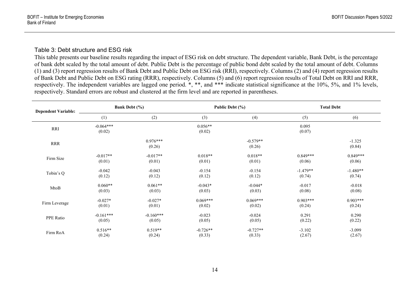#### Table 3: Debt structure and ESG risk

This table presents our baseline results regarding the impact of ESG risk on debt structure. The dependent variable, Bank Debt, is the percentage of bank debt scaled by the total amount of debt. Public Debt is the percentage of public bond debt scaled by the total amount of debt. Columns (1) and (3) report regression results of Bank Debt and Public Debt on ESG risk (RRI), respectively. Columns (2) and (4) report regression results of Bank Debt and Public Debt on ESG rating (RRR), respectively. Columns (5) and (6) report regression results of Total Debt on RRI and RRR, respectively. The independent variables are lagged one period. \*, \*\*, and \*\*\* indicate statistical significance at the 10%, 5%, and 1% levels, respectively. Standard errors are robust and clustered at the firm level and are reported in parentheses.

| <b>Dependent Variable:</b> |                       | <b>Bank Debt</b> (%) |                     | Public Debt (%)      | <b>Total Debt</b> |                    |  |
|----------------------------|-----------------------|----------------------|---------------------|----------------------|-------------------|--------------------|--|
|                            | (1)                   | (2)                  | (3)                 | (4)                  | (5)               | (6)                |  |
| RRI                        | $-0.064***$<br>(0.02) |                      | $0.056**$<br>(0.02) |                      | 0.095<br>(0.07)   |                    |  |
| <b>RRR</b>                 |                       | $0.976***$<br>(0.26) |                     | $-0.579**$<br>(0.26) |                   | $-1.325$<br>(0.84) |  |
| Firm Size                  | $-0.017**$            | $-0.017**$           | $0.018**$           | $0.018**$            | $0.849***$        | $0.849***$         |  |
|                            | (0.01)                | (0.01)               | (0.01)              | (0.01)               | (0.06)            | (0.06)             |  |
| Tobin's Q                  | $-0.042$              | $-0.043$             | $-0.154$            | $-0.154$             | $-1.479**$        | $-1.480**$         |  |
|                            | (0.12)                | (0.12)               | (0.12)              | (0.12)               | (0.74)            | (0.74)             |  |
| MtoB                       | $0.060**$             | $0.061**$            | $-0.043*$           | $-0.044*$            | $-0.017$          | $-0.018$           |  |
|                            | (0.03)                | (0.03)               | (0.03)              | (0.03)               | (0.08)            | (0.08)             |  |
| Firm Leverage              | $-0.027*$             | $-0.027*$            | $0.069***$          | $0.069***$           | $0.903***$        | $0.903***$         |  |
|                            | (0.01)                | (0.01)               | (0.02)              | (0.02)               | (0.24)            | (0.24)             |  |
| PPE Ratio                  | $-0.161***$           | $-0.160***$          | $-0.023$            | $-0.024$             | 0.291             | 0.290              |  |
|                            | (0.05)                | (0.05)               | (0.05)              | (0.05)               | (0.22)            | (0.22)             |  |
| Firm RoA                   | $0.516**$             | $0.519**$            | $-0.726**$          | $-0.727**$           | $-3.102$          | $-3.099$           |  |
|                            | (0.24)                | (0.24)               | (0.33)              | (0.33)               | (2.67)            | (2.67)             |  |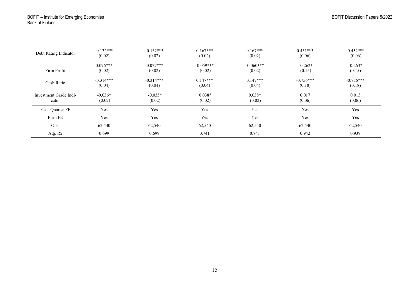| Debt Rating Indicator  | $-0.132***$ | $-0.132***$ | $0.167***$  | $0.167***$  | $0.451***$  | $0.452***$  |
|------------------------|-------------|-------------|-------------|-------------|-------------|-------------|
|                        | (0.02)      | (0.02)      | (0.02)      | (0.02)      | (0.06)      | (0.06)      |
| Firm Profit            | $0.076***$  | $0.077***$  | $-0.059***$ | $-0.060***$ | $-0.262*$   | $-0.263*$   |
|                        | (0.02)      | (0.02)      | (0.02)      | (0.02)      | (0.15)      | (0.15)      |
| Cash Ratio             | $-0.314***$ | $-0.314***$ | $0.147***$  | $0.147***$  | $-0.756***$ | $-0.756***$ |
|                        | (0.04)      | (0.04)      | (0.04)      | (0.04)      | (0.18)      | (0.18)      |
| Investment Grade Indi- | $-0.036*$   | $-0.035*$   | $0.038*$    | $0.038*$    | 0.017       | 0.015       |
| cator                  | (0.02)      | (0.02)      | (0.02)      | (0.02)      | (0.06)      | (0.06)      |
| Year-Ouarter FE        | Yes         | Yes         | Yes         | Yes         | Yes         | Yes         |
| Firm FE                | Yes         | Yes         | Yes         | Yes         | Yes         | Yes         |
| Obs.                   | 62,540      | 62,540      | 62,540      | 62,540      | 62,540      | 62,540      |
| Adj. R2                | 0.699       | 0.699       | 0.741       | 0.741       | 0.942       | 0.939       |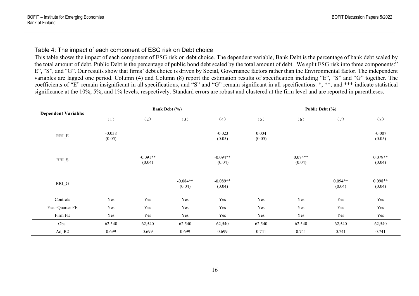### Table 4: The impact of each component of ESG risk on Debt choice

This table shows the impact of each component of ESG risk on debt choice. The dependent variable, Bank Debt is the percentage of bank debt scaled by the total amount of debt. Public Debt is the percentage of public bond debt scaled by the total amount of debt. We split ESG risk into three components:" E", "S", and "G". Our results show that firms' debt choice is driven by Social, Governance factors rather than the Environmental factor. The independent variables are lagged one period. Column (4) and Column (8) report the estimation results of specification including "E", "S" and "G" together. The coefficients of "E" remain insignificant in all specifications, and "S" and "G" remain significant in all specifications. \*, \*\*, and \*\*\* indicate statistical significance at the 10%, 5%, and 1% levels, respectively. Standard errors are robust and clustered at the firm level and are reported in parentheses.

| <b>Dependent Variable:</b>      |                    |                      | <b>Bank Debt</b> (%) |                      |                 | Public Debt (%)     |                     |                     |  |
|---------------------------------|--------------------|----------------------|----------------------|----------------------|-----------------|---------------------|---------------------|---------------------|--|
|                                 | (1)                | (2)                  | (3)                  | (4)                  | (5)             | (6)                 | (7)                 | (8)                 |  |
| $RRI$ <sub><math>E</math></sub> | $-0.038$<br>(0.05) |                      |                      | $-0.023$<br>(0.05)   | 0.004<br>(0.05) |                     |                     | $-0.007$<br>(0.05)  |  |
| $RRI_S$                         |                    | $-0.091**$<br>(0.04) |                      | $-0.094**$<br>(0.04) |                 | $0.074**$<br>(0.04) |                     | $0.079**$<br>(0.04) |  |
| $RRI_G$                         |                    |                      | $-0.084**$<br>(0.04) | $-0.089**$<br>(0.04) |                 |                     | $0.094**$<br>(0.04) | $0.098**$<br>(0.04) |  |
| Controls                        | Yes                | Yes                  | Yes                  | Yes                  | Yes             | Yes                 | Yes                 | Yes                 |  |
| Year-Quarter FE                 | Yes                | Yes                  | Yes                  | Yes                  | Yes             | Yes                 | Yes                 | Yes                 |  |
| Firm FE                         | Yes                | Yes                  | Yes                  | Yes                  | Yes             | Yes                 | Yes                 | Yes                 |  |
| Obs.                            | 62,540             | 62,540               | 62,540               | 62,540               | 62,540          | 62,540              | 62,540              | 62,540              |  |
| Adj.R2                          | 0.699              | 0.699                | 0.699                | 0.699                | 0.741           | 0.741               | 0.741               | 0.741               |  |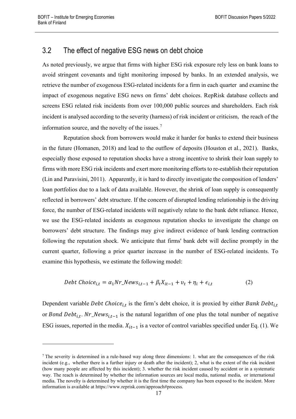## 3.2 The effect of negative ESG news on debt choice

As noted previously, we argue that firms with higher ESG risk exposure rely less on bank loans to avoid stringent covenants and tight monitoring imposed by banks. In an extended analysis, we retrieve the number of exogenous ESG-related incidents for a firm in each quarter and examine the impact of exogenous negative ESG news on firms' debt choices. RepRisk database collects and screens ESG related risk incidents from over 100,000 public sources and shareholders. Each risk incident is analysed according to the severity (harness) of risk incident or criticism, the reach of the information source, and the novelty of the issues.<sup>[7](#page-18-0)</sup>

Reputation shock from borrowers would make it harder for banks to extend their business in the future (Homanen, 2018) and lead to the outflow of deposits (Houston et al., 2021). Banks, especially those exposed to reputation shocks have a strong incentive to shrink their loan supply to firms with more ESG risk incidents and exert more monitoring efforts to re-establish their reputation (Lin and Paravisini, 2011). Apparently, it is hard to directly investigate the composition of lenders' loan portfolios due to a lack of data available. However, the shrink of loan supply is consequently reflected in borrowers' debt structure. If the concern of disrupted lending relationship is the driving force, the number of ESG-related incidents will negatively relate to the bank debt reliance. Hence, we use the ESG-related incidents as exogenous reputation shocks to investigate the change on borrowers' debt structure. The findings may give indirect evidence of bank lending contraction following the reputation shock. We anticipate that firms' bank debt will decline promptly in the current quarter, following a prior quarter increase in the number of ESG-related incidents. To examine this hypothesis, we estimate the following model:

$$
Debt Choice_{i,t} = \alpha_1 Nr\_News_{i,t-1} + \beta_t X_{it-1} + v_t + \eta_i + \epsilon_{i,t}
$$
 (2)

Dependent variable *Debt Choice*<sub>it</sub> is the firm's debt choice, it is proxied by either *Bank Debt*<sub>it</sub> or Bond Debt<sub>i.t</sub>. Nr\_News<sub>i.t-1</sub> is the natural logarithm of one plus the total number of negative ESG issues, reported in the media.  $X_{it-1}$  is a vector of control variables specified under Eq. (1). We

<span id="page-18-0"></span><sup>&</sup>lt;sup>7</sup> The severity is determined in a rule-based way along three dimensions: 1. what are the consequences of the risk incident (e.g., whether there is a further injury or death after the incident); 2, what is the extent of the risk incident (how many people are affected by this incident); 3. whether the risk incident caused by accident or in a systematic way. The reach is determined by whether the information sources are local media, national media, or international media. The novelty is determined by whether it is the first time the company has been exposed to the incident. More information is available at https://www.reprisk.com/approach#process.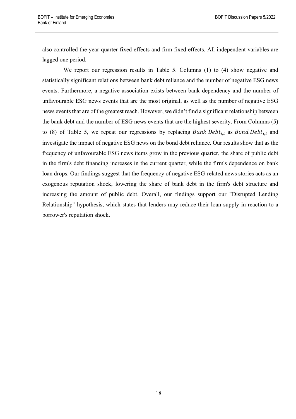also controlled the year-quarter fixed effects and firm fixed effects. All independent variables are lagged one period.

We report our regression results in Table 5. Columns (1) to (4) show negative and statistically significant relations between bank debt reliance and the number of negative ESG news events. Furthermore, a negative association exists between bank dependency and the number of unfavourable ESG news events that are the most original, as well as the number of negative ESG news events that are of the greatest reach. However, we didn't find a significant relationship between the bank debt and the number of ESG news events that are the highest severity. From Columns (5) to (8) of Table 5, we repeat our regressions by replacing Bank Debt<sub>i,t</sub> as Bond Debt<sub>i,t</sub> and investigate the impact of negative ESG news on the bond debt reliance. Our results show that as the frequency of unfavourable ESG news items grow in the previous quarter, the share of public debt in the firm's debt financing increases in the current quarter, while the firm's dependence on bank loan drops. Our findings suggest that the frequency of negative ESG-related news stories acts as an exogenous reputation shock, lowering the share of bank debt in the firm's debt structure and increasing the amount of public debt. Overall, our findings support our "Disrupted Lending Relationship" hypothesis, which states that lenders may reduce their loan supply in reaction to a borrower's reputation shock.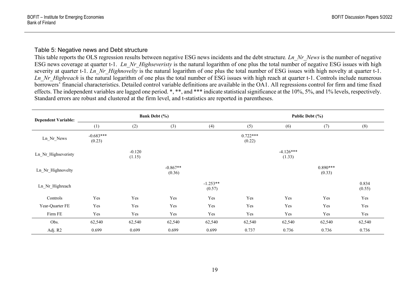#### Table 5: Negative news and Debt structure

This table reports the OLS regression results between negative ESG news incidents and the debt structure. *Ln\_Nr\_News* is the number of negative ESG news coverage at quarter t-1. *Ln\_Nr\_Highseveristy* is the natural logarithm of one plus the total number of negative ESG issues with high severity at quarter t-1. *Ln Nr Highnovelty* is the natural logarithm of one plus the total number of ESG issues with high novelty at quarter t-1. *Ln Nr Highreach* is the natural logarithm of one plus the total number of ESG issues with high reach at quarter t-1. Controls include numerous borrowers' financial characteristics. Detailed control variable definitions are available in the OA1. All regressions control for firm and time fixed effects. The independent variables are lagged one period. \*, \*\*, and \*\*\* indicate statistical significance at the 10%, 5%, and 1% levels, respectively. Standard errors are robust and clustered at the firm level, and t-statistics are reported in parentheses.

| <b>Dependent Variable:</b> |                       |                    | Bank Debt (%)        |                      | Public Debt (%)      |                       |                      |                 |  |
|----------------------------|-----------------------|--------------------|----------------------|----------------------|----------------------|-----------------------|----------------------|-----------------|--|
|                            | (1)                   | (2)                | (3)                  | (4)                  | (5)                  | (6)                   | (7)                  | (8)             |  |
| Ln_Nr_News                 | $-0.683***$<br>(0.23) |                    |                      |                      | $0.722***$<br>(0.22) |                       |                      |                 |  |
| Ln_Nr_Highseveristy        |                       | $-0.120$<br>(1.15) |                      |                      |                      | $-4.126***$<br>(1.33) |                      |                 |  |
| Ln_Nr_Highnovelty          |                       |                    | $-0.867**$<br>(0.36) |                      |                      |                       | $0.890***$<br>(0.33) |                 |  |
| Ln_Nr_Highreach            |                       |                    |                      | $-1.253**$<br>(0.57) |                      |                       |                      | 0.834<br>(0.55) |  |
| Controls                   | Yes                   | Yes                | Yes                  | Yes                  | Yes                  | Yes                   | Yes                  | Yes             |  |
| Year-Quarter FE            | Yes                   | Yes                | Yes                  | Yes                  | Yes                  | Yes                   | Yes                  | Yes             |  |
| Firm FE                    | Yes                   | Yes                | Yes                  | Yes                  | Yes                  | Yes                   | Yes                  | Yes             |  |
| Obs.                       | 62,540                | 62,540             | 62,540               | 62,540               | 62,540               | 62,540                | 62,540               | 62,540          |  |
| Adj. R2                    | 0.699                 | 0.699              | 0.699                | 0.699                | 0.737                | 0.736                 | 0.736                | 0.736           |  |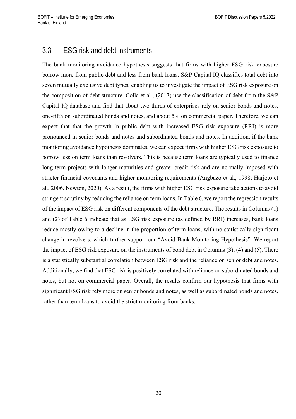## 3.3 ESG risk and debt instruments

The bank monitoring avoidance hypothesis suggests that firms with higher ESG risk exposure borrow more from public debt and less from bank loans. S&P Capital IQ classifies total debt into seven mutually exclusive debt types, enabling us to investigate the impact of ESG risk exposure on the composition of debt structure. Colla et al., (2013) use the classification of debt from the S&P Capital IQ database and find that about two-thirds of enterprises rely on senior bonds and notes, one-fifth on subordinated bonds and notes, and about 5% on commercial paper. Therefore, we can expect that that the growth in public debt with increased ESG risk exposure (RRI) is more pronounced in senior bonds and notes and subordinated bonds and notes. In addition, if the bank monitoring avoidance hypothesis dominates, we can expect firms with higher ESG risk exposure to borrow less on term loans than revolvers. This is because term loans are typically used to finance long-term projects with longer maturities and greater credit risk and are normally imposed with stricter financial covenants and higher monitoring requirements (Angbazo et al., 1998; Harjoto et al., 2006, Newton, 2020). As a result, the firms with higher ESG risk exposure take actions to avoid stringent scrutiny by reducing the reliance on term loans. In Table 6, we report the regression results of the impact of ESG risk on different components of the debt structure. The results in Columns (1) and (2) of Table 6 indicate that as ESG risk exposure (as defined by RRI) increases, bank loans reduce mostly owing to a decline in the proportion of term loans, with no statistically significant change in revolvers, which further support our "Avoid Bank Monitoring Hypothesis". We report the impact of ESG risk exposure on the instruments of bond debt in Columns (3), (4) and (5). There is a statistically substantial correlation between ESG risk and the reliance on senior debt and notes. Additionally, we find that ESG risk is positively correlated with reliance on subordinated bonds and notes, but not on commercial paper. Overall, the results confirm our hypothesis that firms with significant ESG risk rely more on senior bonds and notes, as well as subordinated bonds and notes, rather than term loans to avoid the strict monitoring from banks.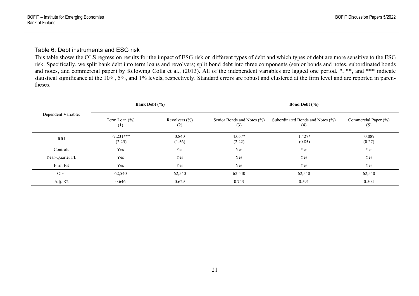#### Table 6: Debt instruments and ESG risk

This table shows the OLS regression results for the impact of ESG risk on different types of debt and which types of debt are more sensitive to the ESG risk. Specifically, we split bank debt into term loans and revolvers; split bond debt into three components (senior bonds and notes, subordinated bonds and notes, and commercial paper) by following Colla et al., (2013). All of the independent variables are lagged one period. \*, \*\*, and \*\*\* indicate statistical significance at the 10%, 5%, and 1% levels, respectively. Standard errors are robust and clustered at the firm level and are reported in parentheses.

|                     | <b>Bank Debt</b> (%)     |                          | Bond Debt $(\% )$                 |                                         |                             |  |  |
|---------------------|--------------------------|--------------------------|-----------------------------------|-----------------------------------------|-----------------------------|--|--|
| Dependent Variable: | Term Loan $(\% )$<br>(1) | Revolvers $(\% )$<br>(2) | Senior Bonds and Notes (%)<br>(3) | Subordinated Bonds and Notes (%)<br>(4) | Commercial Paper (%)<br>(5) |  |  |
| RRI                 | $-7.231***$<br>(2.25)    | 0.840<br>(1.56)          | $4.057*$<br>(2.22)                | 1.427*<br>(0.85)                        | 0.089<br>(0.27)             |  |  |
| Controls            | Yes                      | Yes                      | Yes                               | Yes                                     | Yes                         |  |  |
| Year-Quarter FE     | Yes                      | Yes                      | Yes                               | Yes                                     | Yes                         |  |  |
| Firm FE             | Yes                      | Yes                      | Yes                               | Yes                                     | Yes                         |  |  |
| Obs.                | 62,540                   | 62,540                   | 62,540                            | 62,540                                  | 62,540                      |  |  |
| Adj. R2             | 0.646                    | 0.629                    | 0.743                             | 0.591                                   | 0.504                       |  |  |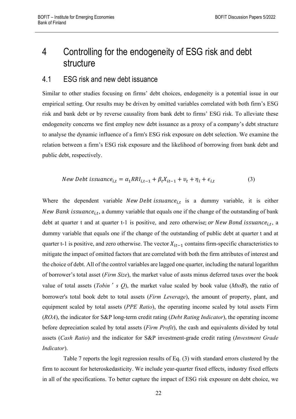# 4 Controlling for the endogeneity of ESG risk and debt structure

## 4.1 ESG risk and new debt issuance

Similar to other studies focusing on firms' debt choices, endogeneity is a potential issue in our empirical setting. Our results may be driven by omitted variables correlated with both firm's ESG risk and bank debt or by reverse causality from bank debt to firms' ESG risk. To alleviate these endogeneity concerns we first employ new debt issuance as a proxy of a company's debt structure to analyse the dynamic influence of a firm's ESG risk exposure on debt selection. We examine the relation between a firm's ESG risk exposure and the likelihood of borrowing from bank debt and public debt, respectively.

$$
New\;Debt\;issuance_{i,t} = \alpha_1 RRI_{i,t-1} + \beta_t X_{it-1} + v_t + \eta_i + \epsilon_{i,t} \tag{3}
$$

Where the dependent variable *New Debt* is *suance*<sub>it</sub> is a dummy variable, it is either New Bank issuance<sub>i,t</sub>, a dummy variable that equals one if the change of the outstanding of bank debt at quarter t and at quarter t-1 is positive, and zero otherwise; or New Bond issuance<sub>i,t</sub>, a dummy variable that equals one if the change of the outstanding of public debt at quarter t and at quarter t-1 is positive, and zero otherwise. The vector  $X_{it-1}$  contains firm-specific characteristics to mitigate the impact of omitted factors that are correlated with both the firm attributes of interest and the choice of debt. All of the control variables are lagged one quarter, including the natural logarithm of borrower's total asset (*Firm Size*), the market value of assts minus deferred taxes over the book value of total assets (*Tobin*'*s Q*), the market value scaled by book value (*MtoB*), the ratio of borrower's total book debt to total assets (*Firm Leverage*), the amount of property, plant, and equipment scaled by total assets (*PPE Ratio*), the operating income scaled by total assets Firm (*ROA*), the indicator for S&P long-term credit rating (*Debt Rating Indicator*), the operating income before depreciation scaled by total assets (*Firm Profit*), the cash and equivalents divided by total assets (*Cash Ratio*) and the indicator for S&P investment-grade credit rating (*Investment Grade Indicator*).

Table 7 reports the logit regression results of Eq. (3) with standard errors clustered by the firm to account for heteroskedasticity. We include year-quarter fixed effects, industry fixed effects in all of the specifications. To better capture the impact of ESG risk exposure on debt choice, we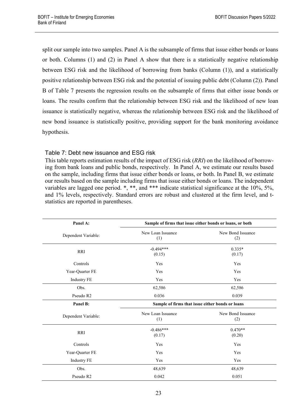split our sample into two samples. Panel A is the subsample of firms that issue either bonds or loans or both. Columns (1) and (2) in Panel A show that there is a statistically negative relationship between ESG risk and the likelihood of borrowing from banks (Column (1)), and a statistically positive relationship between ESG risk and the potential of issuing public debt (Column (2)). Panel B of Table 7 presents the regression results on the subsample of firms that either issue bonds or loans. The results confirm that the relationship between ESG risk and the likelihood of new loan issuance is statistically negative, whereas the relationship between ESG risk and the likelihood of new bond issuance is statistically positive, providing support for the bank monitoring avoidance hypothesis.

### Table 7: Debt new issuance and ESG risk

This table reports estimation results of the impact of ESG risk (*RRI*) on the likelihood of borrowing from bank loans and public bonds, respectively. In Panel A, we estimate our results based on the sample, including firms that issue either bonds or loans, or both. In Panel B, we estimate our results based on the sample including firms that issue either bonds or loans. The independent variables are lagged one period. \*, \*\*, and \*\*\* indicate statistical significance at the 10%, 5%, and 1% levels, respectively. Standard errors are robust and clustered at the firm level, and tstatistics are reported in parentheses.

| Panel A:            |                                                  | Sample of firms that issue either bonds or loans, or both |  |  |  |  |
|---------------------|--------------------------------------------------|-----------------------------------------------------------|--|--|--|--|
| Dependent Variable: | New Loan Issuance<br>(1)                         | New Bond Issuance<br>(2)                                  |  |  |  |  |
| <b>RRI</b>          | $-0.494***$<br>(0.15)                            | $0.335*$<br>(0.17)                                        |  |  |  |  |
| Controls            | Yes                                              | Yes                                                       |  |  |  |  |
| Year-Quarter FE     | Yes                                              | Yes                                                       |  |  |  |  |
| <b>Industry FE</b>  | Yes                                              | Yes                                                       |  |  |  |  |
| Obs.                | 62,586                                           | 62,586                                                    |  |  |  |  |
| Pseudo R2           | 0.036                                            | 0.039                                                     |  |  |  |  |
| Panel B:            | Sample of firms that issue either bonds or loans |                                                           |  |  |  |  |
| Dependent Variable: | New Loan Issuance<br>(1)                         | New Bond Issuance<br>(2)                                  |  |  |  |  |
| <b>RRI</b>          | $-0.486***$<br>(0.17)                            | $0.470**$<br>(0.20)                                       |  |  |  |  |
| Controls            | Yes                                              | Yes                                                       |  |  |  |  |
| Year-Quarter FE     | Yes                                              | Yes                                                       |  |  |  |  |
| <b>Industry FE</b>  | Yes                                              | Yes                                                       |  |  |  |  |
| Obs.                | 48,639                                           | 48,639                                                    |  |  |  |  |
| Pseudo R2           | 0.042                                            | 0.051                                                     |  |  |  |  |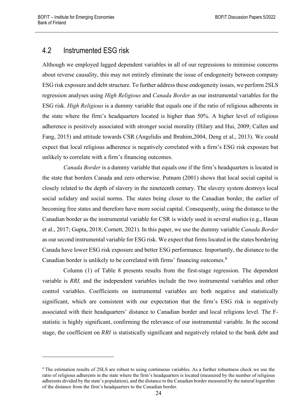## 4.2 Instrumented ESG risk

Although we employed lagged dependent variables in all of our regressions to minimise concerns about reverse causality, this may not entirely eliminate the issue of endogeneity between company ESG risk exposure and debt structure. To further address these endogeneity issues, we perform 2SLS regression analyses using *High Religious* and *Canada Border* as our instrumental variables for the ESG risk. *High Religious* is a dummy variable that equals one if the ratio of religious adherents in the state where the firm's headquarters located is higher than 50%. A higher level of religious adherence is positively associated with stronger social morality (Hilary and Hui, 2009; Callen and Fang, 2015) and attitude towards CSR (Angelidis and Ibrahim,2004, Deng et al., 2013). We could expect that local religious adherence is negatively correlated with a firm's ESG risk exposure but unlikely to correlate with a firm's financing outcomes.

*Canada Border* is a dummy variable that equals one if the firm's headquarters is located in the state that borders Canada and zero otherwise. Putnam (2001) shows that local social capital is closely related to the depth of slavery in the nineteenth century. The slavery system destroys local social solidary and social norms. The states being closer to the Canadian border, the earlier of becoming free states and therefore have more social capital. Consequently, using the distance to the Canadian border as the instrumental variable for CSR is widely used in several studies (e.g., Hasan et al., 2017; Gupta, 2018; Cornett, 2021). In this paper, we use the dummy variable *Canada Border* as our second instrumental variable for ESG risk. We expect that firms located in the states bordering Canada have lower ESG risk exposure and better ESG performance. Importantly, the distance to the Canadian border is unlikely to be correlated with firms' financing outcomes.<sup>[8](#page-25-0)</sup>

Column (1) of Table 8 presents results from the first-stage regression. The dependent variable is *RRI,* and the independent variables include the two instrumental variables and other control variables. Coefficients on instrumental variables are both negative and statistically significant, which are consistent with our expectation that the firm's ESG risk is negatively associated with their headquarters' distance to Canadian border and local religions level. The Fstatistic is highly significant, confirming the relevance of our instrumental variable. In the second stage, the coefficient on RRI is statistically significant and negatively related to the bank debt and

<span id="page-25-0"></span><sup>&</sup>lt;sup>8</sup> The estimation results of 2SLS are robust to using continuous variables. As a further robustness check we use the ratio of religious adherents in the state where the firm's headquarters is located (measured by the number of religious adherents divided by the state's population), and the distance to the Canadian border measured by the natural logarithm of the distance from the firm's headquarters to the Canadian border.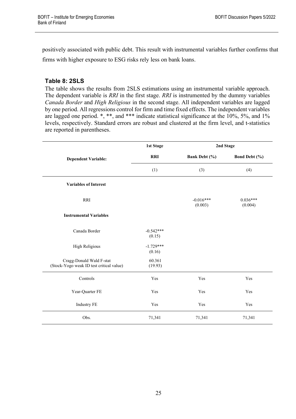positively associated with public debt. This result with instrumental variables further confirms that firms with higher exposure to ESG risks rely less on bank loans.

### **Table 8: 2SLS**

The table shows the results from 2SLS estimations using an instrumental variable approach. The dependent variable is *RRI* in the first stage. *RRI* is instrumented by the dummy variables *Canada Border* and *High Religious* in the second stage. All independent variables are lagged by one period. All regressions control for firm and time fixed effects. The independent variables are lagged one period. \*, \*\*, and \*\*\* indicate statistical significance at the 10%, 5%, and 1% levels, respectively. Standard errors are robust and clustered at the firm level, and t-statistics are reported in parentheses.

|                                                                      | <b>1st Stage</b>      |                        | 2nd Stage             |
|----------------------------------------------------------------------|-----------------------|------------------------|-----------------------|
| <b>Dependent Variable:</b>                                           | <b>RRI</b>            | <b>Bank Debt</b> (%)   | Bond Debt (%)         |
|                                                                      | (1)                   | (3)                    | (4)                   |
| <b>Variables of Interest</b>                                         |                       |                        |                       |
| <b>RRI</b>                                                           |                       | $-0.016***$<br>(0.003) | $0.036***$<br>(0.004) |
| <b>Instrumental Variables</b>                                        |                       |                        |                       |
| Canada Border                                                        | $-0.542***$<br>(0.15) |                        |                       |
| <b>High Religious</b>                                                | $-1.729***$<br>(0.16) |                        |                       |
| Cragg-Donald Wald F-stat<br>(Stock-Yogo weak ID test critical value) | 60.361<br>(19.93)     |                        |                       |
| Controls                                                             | Yes                   | Yes                    | Yes                   |
| Year-Quarter FE                                                      | Yes                   | Yes                    | Yes                   |
| <b>Industry FE</b>                                                   | Yes                   | Yes                    | Yes                   |
| Obs.                                                                 | 71,341                | 71,341                 | 71,341                |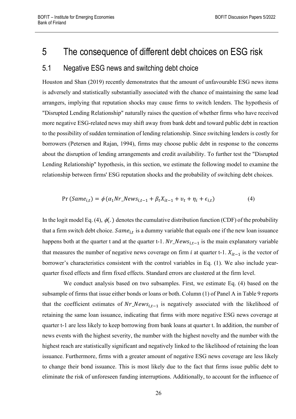## 5 The consequence of different debt choices on ESG risk

## 5.1 Negative ESG news and switching debt choice

Houston and Shan (2019) recently demonstrates that the amount of unfavourable ESG news items is adversely and statistically substantially associated with the chance of maintaining the same lead arrangers, implying that reputation shocks may cause firms to switch lenders. The hypothesis of "Disrupted Lending Relationship" naturally raises the question of whether firms who have received more negative ESG-related news may shift away from bank debt and toward public debt in reaction to the possibility of sudden termination of lending relationship. Since switching lenders is costly for borrowers (Petersen and Rajan, 1994), firms may choose public debt in response to the concerns about the disruption of lending arrangements and credit availability. To further test the "Disrupted Lending Relationship" hypothesis, in this section, we estimate the following model to examine the relationship between firms' ESG reputation shocks and the probability of switching debt choices.

$$
Pr(Samei,t) = \phi(\alpha_1 Nr\_Newsi,t-1 + \beta_t Xit-1 + v_t + \eta_i + \epsilon_{i,t})
$$
\n(4)

In the logit model Eq. (4),  $\phi(.)$  denotes the cumulative distribution function (CDF) of the probability that a firm switch debt choice.  $Same_{i,t}$  is a dummy variable that equals one if the new loan issuance happens both at the quarter t and at the quarter t-1.  $Nr_{N}$ -News<sub>itt-1</sub> is the main explanatory variable that measures the number of negative news coverage on firm i at quarter t-1.  $X_{it-1}$  is the vector of borrower's characteristics consistent with the control variables in Eq. (1). We also include yearquarter fixed effects and firm fixed effects. Standard errors are clustered at the firm level.

We conduct analysis based on two subsamples. First, we estimate Eq. (4) based on the subsample of firms that issue either bonds or loans or both. Column (1) of Panel A in Table 9 reports that the coefficient estimates of  $Nr_{\_}News_{i,t-1}$  is negatively associated with the likelihood of retaining the same loan issuance, indicating that firms with more negative ESG news coverage at quarter t-1 are less likely to keep borrowing from bank loans at quarter t. In addition, the number of news events with the highest severity, the number with the highest novelty and the number with the highest reach are statistically significant and negatively linked to the likelihood of retaining the loan issuance. Furthermore, firms with a greater amount of negative ESG news coverage are less likely to change their bond issuance. This is most likely due to the fact that firms issue public debt to eliminate the risk of unforeseen funding interruptions. Additionally, to account for the influence of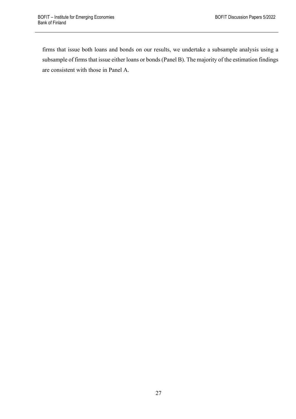firms that issue both loans and bonds on our results, we undertake a subsample analysis using a subsample of firms that issue either loans or bonds (Panel B). The majority of the estimation findings are consistent with those in Panel A.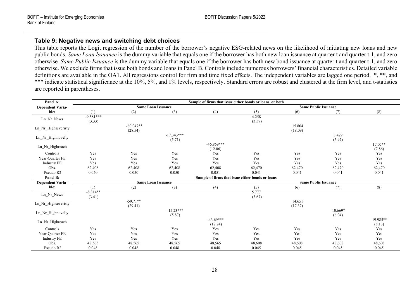### **Table 9: Negative news and switching debt choices**

This table reports the Logit regression of the number of the borrower's negative ESG-related news on the likelihood of initiating new loans and new public bonds. *Same Loan Issuance* is the dummy variable that equals one if the borrower has both new loan issuance at quarter t and quarter t-1, and zero otherwise*. Same Public Issuance* is the dummy variable that equals one if the borrower has both new bond issuance at quarter t and quarter t-1, and zero otherwise. We exclude firms that issue both bonds and loans in Panel B. Controls include numerous borrowers' financial characteristics. Detailed variable definitions are available in the OA1. All regressions control for firm and time fixed effects. The independent variables are lagged one period. \*, \*\*, and \*\*\* indicate statistical significance at the 10%, 5%, and 1% levels, respectively. Standard errors are robust and clustered at the firm level, and t-statistics are reported in parentheses.

| Panel A:                |             |             |                           | Sample of firms that issue either bonds or loans, or both |        |         |                             |           |
|-------------------------|-------------|-------------|---------------------------|-----------------------------------------------------------|--------|---------|-----------------------------|-----------|
| <b>Dependent Varia-</b> |             |             | <b>Same Loan Issuance</b> |                                                           |        |         | <b>Same Public Issuance</b> |           |
| ble:                    | (1)         | (2)         | (3)                       | (4)                                                       | (5)    | (6)     | (7)                         | (8)       |
|                         | $-9.581***$ |             |                           |                                                           | 4.258  |         |                             |           |
| Ln_Nr_News              | (3.33)      |             |                           |                                                           | (3.57) |         |                             |           |
| Ln Nr Highseveristy     |             | $-60.047**$ |                           |                                                           |        | 15.804  |                             |           |
|                         |             | (28.54)     |                           |                                                           |        | (18.09) |                             |           |
| Ln_Nr_Highnovelty       |             |             | $-17.343***$              |                                                           |        |         | 8.429                       |           |
|                         |             |             | (5.71)                    |                                                           |        |         | (5.97)                      |           |
| Ln Nr_Highreach         |             |             |                           | $-46.869***$                                              |        |         |                             | $17.05**$ |
|                         |             |             |                           | (12.06)                                                   |        |         |                             | (7.86)    |
| Controls                | Yes         | Yes         | Yes                       | Yes                                                       | Yes    | Yes     | Yes                         | Yes       |
| Year-Quarter FE         | Yes         | Yes         | Yes                       | Yes                                                       | Yes    | Yes     | Yes                         | Yes       |
| <b>Industry FE</b>      | Yes         | Yes         | Yes                       | Yes                                                       | Yes    | Yes     | Yes                         | Yes       |
| Obs.                    | 62,408      | 62,408      | 62,408                    | 62,408                                                    | 62,470 | 62,470  | 62,470                      | 62,470    |
| Pseudo R2               | 0.050       | 0.050       | 0.050                     | 0.051                                                     | 0.041  | 0.041   | 0.041                       | 0.041     |
| Panel B:                |             |             |                           | Sample of firms that issue either bonds or loans          |        |         |                             |           |
| <b>Dependent Varia-</b> |             |             | <b>Same Loan Issuance</b> |                                                           |        |         | <b>Same Public Issuance</b> |           |
| ble:                    | (1)         | (2)         | (3)                       | (4)                                                       | (5)    | (6)     | (7)                         | (8)       |
| Ln_Nr_News              | $-8.314**$  |             |                           |                                                           | 5.777  |         |                             |           |
|                         | (3.41)      |             |                           |                                                           | (3.67) |         |                             |           |
| Ln_Nr_Highseveristy     |             | $-59.71**$  |                           |                                                           |        | 14.651  |                             |           |
|                         |             | (29.41)     |                           |                                                           |        | (17.37) |                             |           |
| Ln Nr Highnovelty       |             |             | $-15.23***$               |                                                           |        |         | $10.669*$                   |           |
|                         |             |             | (5.87)                    |                                                           |        |         | (6.04)                      |           |
| Ln Nr Highreach         |             |             |                           | $-43.69***$                                               |        |         |                             | 19.985**  |
|                         |             |             |                           | (12.24)                                                   |        |         |                             | (8.13)    |
| Controls                | Yes         | Yes         | Yes                       | Yes                                                       | Yes    | Yes     | Yes                         | Yes       |
| Year-Quarter FE         | Yes         | Yes         | Yes                       | Yes                                                       | Yes    | Yes     | Yes                         | Yes       |
| <b>Industry FE</b>      | Yes         | Yes         | Yes                       | Yes                                                       | Yes    | Yes     | Yes                         | Yes       |
| Obs.                    | 48,565      | 48,565      | 48,565                    | 48,565                                                    | 48,608 | 48,608  | 48,608                      | 48,608    |
| Pseudo R2               | 0.048       | 0.048       | 0.048                     | 0.048                                                     | 0.045  | 0.045   | 0.045                       | 0.045     |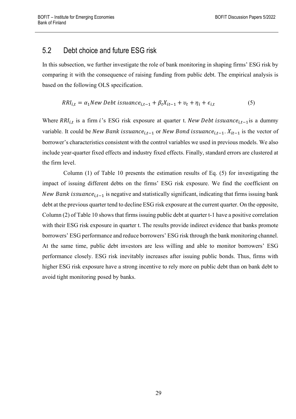## 5.2 Debt choice and future ESG risk

In this subsection, we further investigate the role of bank monitoring in shaping firms' ESG risk by comparing it with the consequence of raising funding from public debt. The empirical analysis is based on the following OLS specification.

$$
RRI_{i,t} = \alpha_1 New\; Debt\; is suance_{i,t-1} + \beta_t X_{it-1} + v_t + \eta_i + \epsilon_{i,t} \tag{5}
$$

Where  $RRI_{i,t}$  is a firm i's ESG risk exposure at quarter t. New Debt issuance<sub>it-1</sub> is a dummy variable. It could be *New Bank issuance*<sub>i,t-1</sub> or *New Bond issuance*<sub>i,t-1</sub>.  $X_{it-1}$  is the vector of borrower's characteristics consistent with the control variables we used in previous models. We also include year-quarter fixed effects and industry fixed effects. Finally, standard errors are clustered at the firm level.

Column (1) of Table 10 presents the estimation results of Eq. (5) for investigating the impact of issuing different debts on the firms' ESG risk exposure. We find the coefficient on New Bank issuance<sub>it-1</sub> is negative and statistically significant, indicating that firms issuing bank debt at the previous quarter tend to decline ESG risk exposure at the current quarter. On the opposite, Column (2) of Table 10 shows that firms issuing public debt at quarter t-1 have a positive correlation with their ESG risk exposure in quarter t. The results provide indirect evidence that banks promote borrowers' ESG performance and reduce borrowers' ESG risk through the bank monitoring channel. At the same time, public debt investors are less willing and able to monitor borrowers' ESG performance closely. ESG risk inevitably increases after issuing public bonds. Thus, firms with higher ESG risk exposure have a strong incentive to rely more on public debt than on bank debt to avoid tight monitoring posed by banks.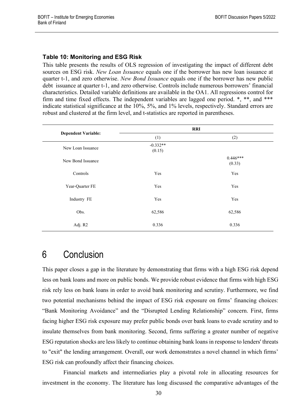#### **Table 10: Monitoring and ESG Risk**

This table presents the results of OLS regression of investigating the impact of different debt sources on ESG risk. *New Loan Issuance* equals one if the borrower has new loan issuance at quarter t-1, and zero otherwise. *New Bond Issuance* equals one if the borrower has new public debt issuance at quarter t-1, and zero otherwise. Controls include numerous borrowers' financial characteristics. Detailed variable definitions are available in the OA1. All regressions control for firm and time fixed effects. The independent variables are lagged one period. \*, \*\*, and \*\*\* indicate statistical significance at the 10%, 5%, and 1% levels, respectively. Standard errors are robust and clustered at the firm level, and t-statistics are reported in parentheses.

|                            |                      | <b>RRI</b>           |
|----------------------------|----------------------|----------------------|
| <b>Dependent Variable:</b> | (1)                  | (2)                  |
| New Loan Issuance          | $-0.332**$<br>(0.15) |                      |
| New Bond Issuance          |                      | $0.446***$<br>(0.33) |
| Controls                   | Yes                  | Yes                  |
| Year-Quarter FE            | Yes                  | Yes                  |
| Industry FE                | Yes                  | Yes                  |
| Obs.                       | 62,586               | 62,586               |
| Adj. R2                    | 0.336                | 0.336                |

## 6 Conclusion

This paper closes a gap in the literature by demonstrating that firms with a high ESG risk depend less on bank loans and more on public bonds. We provide robust evidence that firms with high ESG risk rely less on bank loans in order to avoid bank monitoring and scrutiny. Furthermore, we find two potential mechanisms behind the impact of ESG risk exposure on firms' financing choices: "Bank Monitoring Avoidance" and the "Disrupted Lending Relationship" concern. First, firms facing higher ESG risk exposure may prefer public bonds over bank loans to evade scrutiny and to insulate themselves from bank monitoring. Second, firms suffering a greater number of negative ESG reputation shocks are less likely to continue obtaining bank loans in response to lenders' threats to "exit" the lending arrangement. Overall, our work demonstrates a novel channel in which firms' ESG risk can profoundly affect their financing choices.

Financial markets and intermediaries play a pivotal role in allocating resources for investment in the economy. The literature has long discussed the comparative advantages of the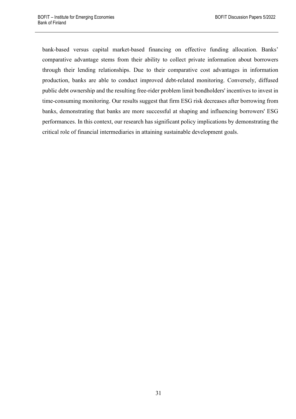bank-based versus capital market-based financing on effective funding allocation. Banks' comparative advantage stems from their ability to collect private information about borrowers through their lending relationships. Due to their comparative cost advantages in information production, banks are able to conduct improved debt-related monitoring. Conversely, diffused public debt ownership and the resulting free-rider problem limit bondholders' incentives to invest in time-consuming monitoring. Our results suggest that firm ESG risk decreases after borrowing from banks, demonstrating that banks are more successful at shaping and influencing borrowers' ESG performances. In this context, our research has significant policy implications by demonstrating the critical role of financial intermediaries in attaining sustainable development goals.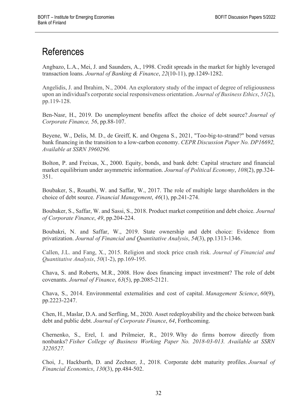# References

Angbazo, L.A., Mei, J. and Saunders, A., 1998. Credit spreads in the market for highly leveraged transaction loans. *Journal of Banking & Finance*, *22*(10-11), pp.1249-1282.

Angelidis, J. and Ibrahim, N., 2004. An exploratory study of the impact of degree of religiousness upon an individual's corporate social responsiveness orientation. *Journal of Business Ethics*, *51*(2), pp.119-128.

Ben-Nasr, H., 2019. Do unemployment benefits affect the choice of debt source? *Journal of Corporate Finance, 56*, pp.88-107.

Beyene, W., Delis, M. D., de Greiff, K. and Ongena S., 2021, "Too-big-to-strand?" bond versus bank financing in the transition to a low-carbon economy. *CEPR Discussion Paper No. DP16692, Available at SSRN 3960296.*

Bolton, P. and Freixas, X., 2000. Equity, bonds, and bank debt: Capital structure and financial market equilibrium under asymmetric information. *Journal of Political Economy*, *108*(2), pp.324- 351.

Boubaker, S., Rouatbi, W. and Saffar, W., 2017. The role of multiple large shareholders in the choice of debt source. *Financial Management*, *46*(1), pp.241-274.

Boubaker, S., Saffar, W. and Sassi, S., 2018. Product market competition and debt choice. *Journal of Corporate Finance*, *49*, pp.204-224.

Boubakri, N. and Saffar, W., 2019. State ownership and debt choice: Evidence from privatization. *Journal of Financial and Quantitative Analysis*, *54*(3), pp.1313-1346.

Callen, J.L. and Fang, X., 2015. Religion and stock price crash risk. *Journal of Financial and Quantitative Analysis*, *50*(1-2), pp.169-195.

Chava, S. and Roberts, M.R., 2008. How does financing impact investment? The role of debt covenants. *Journal of Finance*, *63*(5), pp.2085-2121.

Chava, S., 2014. Environmental externalities and cost of capital. *Management Science*, *60*(9), pp.2223-2247.

Chen, H., Maslar, D.A. and Serfling, M., 2020. Asset redeployability and the choice between bank debt and public debt. *Journal of Corporate Finance*, *64*, Forthcoming.

Chernenko, S., Erel, I. and Prilmeier, R., 2019. Why do firms borrow directly from nonbanks? *Fisher College of Business Working Paper No. 2018-03-013. Available at SSRN 3220527.*

Choi, J., Hackbarth, D. and Zechner, J., 2018. Corporate debt maturity profiles. *Journal of Financial Economics*, *130*(3), pp.484-502.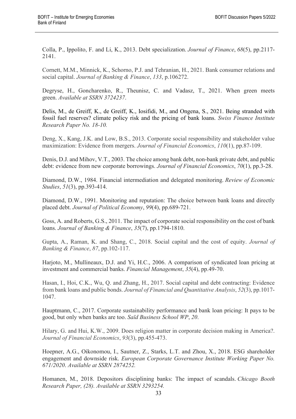Colla, P., Ippolito, F. and Li, K., 2013. Debt specialization. *Journal of Finance*, *68*(5), pp.2117- 2141.

Cornett, M.M., Minnick, K., Schorno, P.J. and Tehranian, H., 2021. Bank consumer relations and social capital. *Journal of Banking & Finance*, *133*, p.106272.

Degryse, H., Goncharenko, R., Theunisz, C. and Vadasz, T., 2021. When green meets green. *Available at SSRN 3724237*.

Delis, M., de Greiff, K., de Greiff, K., Iosifidi, M., and Ongena, S., 2021. Being stranded with fossil fuel reserves? climate policy risk and the pricing of bank loans. *Swiss Finance Institute Research Paper No. 18-10.*

Deng, X., Kang, J.K. and Low, B.S., 2013. Corporate social responsibility and stakeholder value maximization: Evidence from mergers. *Journal of Financial Economics*, *110*(1), pp.87-109.

Denis, D.J. and Mihov, V.T., 2003. The choice among bank debt, non-bank private debt, and public debt: evidence from new corporate borrowings. *Journal of Financial Economics*, *70*(1), pp.3-28.

Diamond, D.W., 1984. Financial intermediation and delegated monitoring. *Review of Economic Studies*, *51*(3), pp.393-414.

Diamond, D.W., 1991. Monitoring and reputation: The choice between bank loans and directly placed debt. *Journal of Political Economy*, *99*(4), pp.689-721.

Goss, A. and Roberts, G.S., 2011. The impact of corporate social responsibility on the cost of bank loans. *Journal of Banking & Finance*, *35*(7), pp.1794-1810.

Gupta, A., Raman, K. and Shang, C., 2018. Social capital and the cost of equity. *Journal of Banking & Finance*, *87*, pp.102-117.

Harjoto, M., Mullineaux, D.J. and Yi, H.C., 2006. A comparison of syndicated loan pricing at investment and commercial banks. *Financial Management*, *35*(4), pp.49-70.

Hasan, I., Hoi, C.K., Wu, Q. and Zhang, H., 2017. Social capital and debt contracting: Evidence from bank loans and public bonds. *Journal of Financial and Quantitative Analysis*, *52*(3), pp.1017- 1047.

Hauptmann, C., 2017. Corporate sustainability performance and bank loan pricing: It pays to be good, but only when banks are too. *Saïd Business School WP*, *20*.

Hilary, G. and Hui, K.W., 2009. Does religion matter in corporate decision making in America?. *Journal of Financial Economics*, *93*(3), pp.455-473.

Hoepner, A.G., Oikonomou, I., Sautner, Z., Starks, L.T. and Zhou, X., 2018. ESG shareholder engagement and downside risk. *European Corporate Governance Institute Working Paper No. 671/2020*. *Available at SSRN 2874252.*

Homanen, M., 2018. Depositors disciplining banks: The impact of scandals. *Chicago Booth Research Paper, (28). Available at SSRN 3293254.*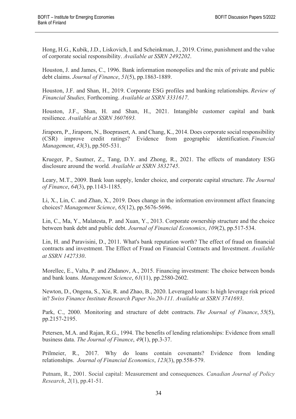Hong, H.G., Kubik, J.D., Liskovich, I. and Scheinkman, J., 2019. Crime, punishment and the value of corporate social responsibility. *Available at SSRN 2492202*.

Houston, J. and James, C., 1996. Bank information monopolies and the mix of private and public debt claims. *Journal of Finance*, *51*(5), pp.1863-1889.

Houston, J.F. and Shan, H., 2019. Corporate ESG profiles and banking relationships. *Review of Financial Studies,* Forthcoming. *Available at SSRN 3331617*.

Houston, J.F., Shan, H. and Shan, H., 2021. Intangible customer capital and bank resilience. *Available at SSRN 3607693.*

Jiraporn, P., Jiraporn, N., Boeprasert, A. and Chang, K., 2014. Does corporate social responsibility (CSR) improve credit ratings? Evidence from geographic identification. *Financial Management*, *43*(3), pp.505-531.

Krueger, P., Sautner, Z., Tang, D.Y. and Zhong, R., 2021. The effects of mandatory ESG disclosure around the world. *Available at SSRN 3832745*.

Leary, M.T., 2009. Bank loan supply, lender choice, and corporate capital structure. *The Journal of Finance*, *64*(3), pp.1143-1185.

Li, X., Lin, C. and Zhan, X., 2019. Does change in the information environment affect financing choices? *Management Science*, *65*(12), pp.5676-5696.

Lin, C., Ma, Y., Malatesta, P. and Xuan, Y., 2013. Corporate ownership structure and the choice between bank debt and public debt. *Journal of Financial Economics*, *109*(2), pp.517-534.

Lin, H. and Paravisini, D., 2011. What's bank reputation worth? The effect of fraud on financial contracts and investment. The Effect of Fraud on Financial Contracts and Investment. *Available at SSRN 1427330*.

Morellec, E., Valta, P. and Zhdanov, A., 2015. Financing investment: The choice between bonds and bank loans. *Management Science*, *61*(11), pp.2580-2602.

Newton, D., Ongena, S., Xie, R. and Zhao, B., 2020. Leveraged loans: Is high leverage risk priced in? *Swiss Finance Institute Research Paper No.20-111. Available at SSRN 3741693*.

Park, C., 2000. Monitoring and structure of debt contracts. *The Journal of Finance*, *55*(5), pp.2157-2195.

Petersen, M.A. and Rajan, R.G., 1994. The benefits of lending relationships: Evidence from small business data. *The Journal of Finance*, *49*(1), pp.3-37.

Prilmeier, R., 2017. Why do loans contain covenants? Evidence from lending relationships. *Journal of Financial Economics*, *123*(3), pp.558-579.

Putnam, R., 2001. Social capital: Measurement and consequences. *Canadian Journal of Policy Research*, *2*(1), pp.41-51.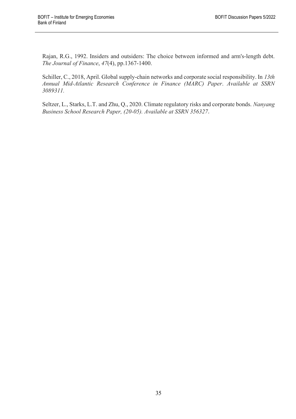Rajan, R.G., 1992. Insiders and outsiders: The choice between informed and arm's‐length debt. *The Journal of Finance*, *47*(4), pp.1367-1400.

Schiller, C., 2018, April. Global supply-chain networks and corporate social responsibility. In *13th Annual Mid-Atlantic Research Conference in Finance (MARC) Paper*. *Available at SSRN 3089311.*

Seltzer, L., Starks, L.T. and Zhu, Q., 2020. Climate regulatory risks and corporate bonds. *Nanyang Business School Research Paper, (20-05). Available at SSRN 356327*.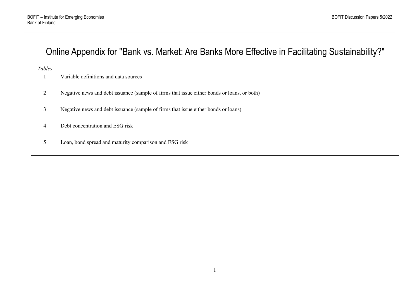## Online Appendix for "Bank vs. Market: Are Banks More Effective in Facilitating Sustainability?"

#### *Tables*

- 1 Variable definitions and data sources
- 2 Negative news and debt issuance (sample of firms that issue either bonds or loans, or both)
- 3 Negative news and debt issuance (sample of firms that issue either bonds or loans)
- 4 Debt concentration and ESG risk
- 5 Loan, bond spread and maturity comparison and ESG risk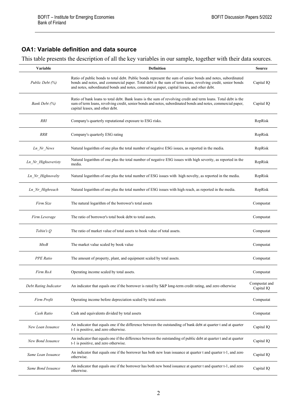### **OA1: Variable definition and data source**

This table presents the description of all the key variables in our sample, together with their data sources.

| Variable              | Definition                                                                                                                                                                                                                                                                                                              | <b>Source</b>               |  |  |
|-----------------------|-------------------------------------------------------------------------------------------------------------------------------------------------------------------------------------------------------------------------------------------------------------------------------------------------------------------------|-----------------------------|--|--|
| Public Debt (%)       | Ratio of public bonds to total debt. Public bonds represent the sum of senior bonds and notes, subordinated<br>bonds and notes, and commercial paper. Total debt is the sum of term loans, revolving credit, senior bonds<br>and notes, subordinated bonds and notes, commercial paper, capital leases, and other debt. | Capital IQ                  |  |  |
| Bank Debt (%)         | Ratio of bank loans to total debt. Bank loans is the sum of revolving credit and term loans. Total debt is the<br>sum of term loans, revolving credit, senior bonds and notes, subordinated bonds and notes, commercial paper,<br>capital leases, and other debt.                                                       |                             |  |  |
| <i>RRI</i>            | Company's quarterly reputational exposure to ESG risks.                                                                                                                                                                                                                                                                 | RepRisk                     |  |  |
| <b>RRR</b>            | Company's quarterly ESG rating                                                                                                                                                                                                                                                                                          | RepRisk                     |  |  |
| Ln_Nr_News            | Natural logarithm of one plus the total number of negative ESG issues, as reported in the media.                                                                                                                                                                                                                        | RepRisk                     |  |  |
| Ln Nr Highseveristy   | Natural logarithm of one plus the total number of negative ESG issues with high severity, as reported in the<br>media.                                                                                                                                                                                                  | RepRisk                     |  |  |
| Ln_Nr_Highnovelty     | Natural logarithm of one plus the total number of ESG issues with high novelty, as reported in the media.                                                                                                                                                                                                               | RepRisk                     |  |  |
| Ln Nr Highreach       | Natural logarithm of one plus the total number of ESG issues with high reach, as reported in the media.                                                                                                                                                                                                                 | RepRisk                     |  |  |
| Firm Size             | The natural logarithm of the borrower's total assets                                                                                                                                                                                                                                                                    | Compustat                   |  |  |
| Firm Leverage         | The ratio of borrower's total book debt to total assets.                                                                                                                                                                                                                                                                | Compustat                   |  |  |
| Tobin's Q             | The ratio of market value of total assets to book value of total assets.                                                                                                                                                                                                                                                | Compustat                   |  |  |
| $M$ to B              | The market value scaled by book value                                                                                                                                                                                                                                                                                   | Compustat                   |  |  |
| <b>PPE</b> Ratio      | The amount of property, plant, and equipment scaled by total assets.                                                                                                                                                                                                                                                    | Compustat                   |  |  |
| Firm RoA              | Operating income scaled by total assets.                                                                                                                                                                                                                                                                                | Compustat                   |  |  |
| Debt Rating Indicator | An indicator that equals one if the borrower is rated by S&P long-term credit rating, and zero otherwise                                                                                                                                                                                                                | Compustat and<br>Capital IQ |  |  |
| Firm Profit           | Operating income before depreciation scaled by total assets                                                                                                                                                                                                                                                             | Compustat                   |  |  |
| Cash Ratio            | Cash and equivalents divided by total assets                                                                                                                                                                                                                                                                            | Compustat                   |  |  |
| New Loan Issuance     | An indicator that equals one if the difference between the outstanding of bank debt at quarter t and at quarter<br>t-1 is positive, and zero otherwise.                                                                                                                                                                 | Capital IQ                  |  |  |
| New Bond Issuance     | An indicator that equals one if the difference between the outstanding of public debt at quarter t and at quarter<br>t-1 is positive, and zero otherwise.                                                                                                                                                               | Capital IQ                  |  |  |
| Same Loan Issuance    | An indicator that equals one if the borrower has both new loan issuance at quarter t and quarter t-1, and zero<br>otherwise.                                                                                                                                                                                            | Capital IQ                  |  |  |
| Same Bond Issuance    | An indicator that equals one if the borrower has both new bond issuance at quarter t and quarter t-1, and zero<br>otherwise.                                                                                                                                                                                            | Capital IQ                  |  |  |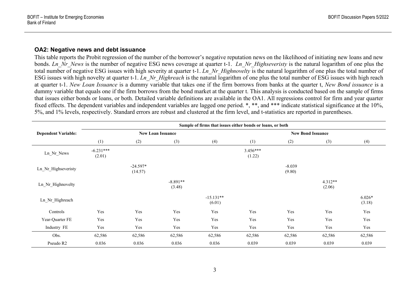#### **OA2: Negative news and debt issuance**

This table reports the Probit regression of the number of the borrower's negative reputation news on the likelihood of initiating new loans and new bonds. *Ln\_Nr\_News* is the number of negative ESG news coverage at quarter t-1. *Ln\_Nr\_Highseveristy* is the natural logarithm of one plus the total number of negative ESG issues with high severity at quarter t-1. *Ln\_Nr\_Highnovelty* is the natural logarithm of one plus the total number of ESG issues with high novelty at quarter t-1. *Ln\_Nr\_Highreach* is the natural logarithm of one plus the total number of ESG issues with high reach at quarter t-1. *New Loan Issuance* is a dummy variable that takes one if the firm borrows from banks at the quarter t, *New Bond issuance* is a dummy variable that equals one if the firm borrows from the bond market at the quarter t. This analysis is conducted based on the sample of firms that issues either bonds or loans, or both. Detailed variable definitions are available in the OA1. All regressions control for firm and year quarter fixed effects. The dependent variables and independent variables are lagged one period. \*, \*\*, and \*\*\* indicate statistical significance at the 10%, 5%, and 1% levels, respectively. Standard errors are robust and clustered at the firm level, and t-statistics are reported in parentheses.

|                            | Sample of firms that issues either bonds or loans, or both |                       |                      |                       |                          |                    |                     |                    |  |
|----------------------------|------------------------------------------------------------|-----------------------|----------------------|-----------------------|--------------------------|--------------------|---------------------|--------------------|--|
| <b>Dependent Variable:</b> | <b>New Loan Issuance</b>                                   |                       |                      |                       | <b>New Bond Issuance</b> |                    |                     |                    |  |
|                            | (1)                                                        | (2)                   | (3)                  | (4)                   | (1)                      | (2)                | (3)                 | (4)                |  |
| Ln_Nr_News                 | $-6.231***$<br>(2.01)                                      |                       |                      |                       | $3.456***$<br>(1.22)     |                    |                     |                    |  |
| Ln Nr Highseveristy        |                                                            | $-24.597*$<br>(14.57) |                      |                       |                          | $-8.039$<br>(9.80) |                     |                    |  |
| Ln Nr Highnovelty          |                                                            |                       | $-8.891**$<br>(3.48) |                       |                          |                    | $4.312**$<br>(2.06) |                    |  |
| Ln Nr Highreach            |                                                            |                       |                      | $-15.131**$<br>(6.01) |                          |                    |                     | $6.026*$<br>(3.18) |  |
| Controls                   | Yes                                                        | Yes                   | Yes                  | Yes                   | Yes                      | Yes                | Yes                 | Yes                |  |
| Year-Quarter FE            | Yes                                                        | Yes                   | Yes                  | Yes                   | Yes                      | Yes                | Yes                 | Yes                |  |
| Industry FE                | Yes                                                        | Yes                   | Yes                  | Yes                   | Yes                      | Yes                | Yes                 | Yes                |  |
| Obs.                       | 62,586                                                     | 62,586                | 62,586               | 62,586                | 62,586                   | 62,586             | 62,586              | 62,586             |  |
| Pseudo R2                  | 0.036                                                      | 0.036                 | 0.036                | 0.036                 | 0.039                    | 0.039              | 0.039               | 0.039              |  |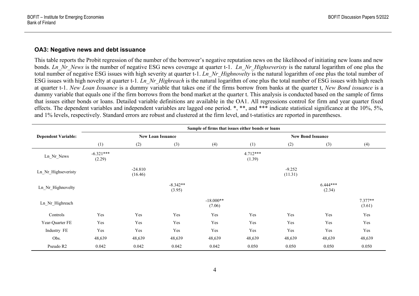#### **OA3: Negative news and debt issuance**

This table reports the Probit regression of the number of the borrower's negative reputation news on the likelihood of initiating new loans and new bonds. *Ln\_Nr\_News* is the number of negative ESG news coverage at quarter t-1. *Ln\_Nr\_Highseveristy* is the natural logarithm of one plus the total number of negative ESG issues with high severity at quarter t-1. *Ln\_Nr\_Highnovelty* is the natural logarithm of one plus the total number of ESG issues with high novelty at quarter t-1*. Ln\_Nr\_Highreach* is the natural logarithm of one plus the total number of ESG issues with high reach at quarter t-1. *New Loan Issuance* is a dummy variable that takes one if the firms borrow from banks at the quarter t, *New Bond issuance* is a dummy variable that equals one if the firm borrows from the bond market at the quarter t. This analysis is conducted based on the sample of firms that issues either bonds or loans. Detailed variable definitions are available in the OA1. All regressions control for firm and year quarter fixed effects. The dependent variables and independent variables are lagged one period. \*, \*\*, and \*\*\* indicate statistical significance at the 10%, 5%, and 1% levels, respectively. Standard errors are robust and clustered at the firm level, and t-statistics are reported in parentheses.

|                            | Sample of firms that issues either bonds or loans |                      |                      |                       |                          |                     |                      |                     |
|----------------------------|---------------------------------------------------|----------------------|----------------------|-----------------------|--------------------------|---------------------|----------------------|---------------------|
| <b>Dependent Variable:</b> | <b>New Loan Issuance</b>                          |                      |                      |                       | <b>New Bond Issuance</b> |                     |                      |                     |
|                            | (1)                                               | (2)                  | (3)                  | (4)                   | (1)                      | (2)                 | (3)                  | (4)                 |
| Ln Nr News                 | $-6.321***$<br>(2.29)                             |                      |                      |                       | $4.712***$<br>(1.39)     |                     |                      |                     |
| Ln Nr Highseveristy        |                                                   | $-24.810$<br>(16.46) |                      |                       |                          | $-9.252$<br>(11.31) |                      |                     |
| Ln Nr Highnovelty          |                                                   |                      | $-8.342**$<br>(3.95) |                       |                          |                     | $6.444***$<br>(2.34) |                     |
| Ln Nr Highreach            |                                                   |                      |                      | $-18.000**$<br>(7.06) |                          |                     |                      | $7.377**$<br>(3.61) |
| Controls                   | Yes                                               | Yes                  | Yes                  | Yes                   | Yes                      | Yes                 | Yes                  | Yes                 |
| Year-Quarter FE            | Yes                                               | Yes                  | Yes                  | Yes                   | Yes                      | Yes                 | Yes                  | Yes                 |
| Industry FE                | Yes                                               | Yes                  | Yes                  | Yes                   | Yes                      | Yes                 | Yes                  | Yes                 |
| Obs.                       | 48,639                                            | 48,639               | 48,639               | 48,639                | 48,639                   | 48,639              | 48,639               | 48,639              |
| Pseudo R2                  | 0.042                                             | 0.042                | 0.042                | 0.042                 | 0.050                    | 0.050               | 0.050                | 0.050               |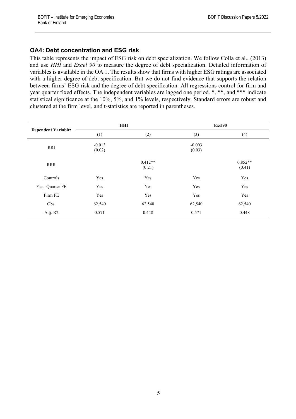## **OA4: Debt concentration and ESG risk**

This table represents the impact of ESG risk on debt specialization. We follow Colla et al., (2013) and use *HHI* and *Excel 90* to measure the degree of debt specialization. Detailed information of variables is available in the OA 1. The results show that firms with higher ESG ratings are associated with a higher degree of debt specification. But we do not find evidence that supports the relation between firms' ESG risk and the degree of debt specification. All regressions control for firm and year quarter fixed effects. The independent variables are lagged one period. \*, \*\*, and \*\*\* indicate statistical significance at the 10%, 5%, and 1% levels, respectively. Standard errors are robust and clustered at the firm level, and t-statistics are reported in parentheses.

|                            |                    | HHI                 | Excl90             |                     |  |
|----------------------------|--------------------|---------------------|--------------------|---------------------|--|
| <b>Dependent Variable:</b> | (1)                | (2)                 | (3)                | (4)                 |  |
| RRI                        | $-0.013$<br>(0.02) |                     | $-0.003$<br>(0.03) |                     |  |
| <b>RRR</b>                 |                    | $0.412**$<br>(0.21) |                    | $0.852**$<br>(0.41) |  |
| Controls                   | Yes                | Yes                 | Yes                | Yes                 |  |
| Year-Quarter FE            | Yes                | Yes                 | Yes                | Yes                 |  |
| Firm FE                    | Yes                | Yes                 | Yes                | Yes                 |  |
| Obs.                       | 62,540             | 62,540              | 62,540             | 62,540              |  |
| Adj. R2                    | 0.571              | 0.448               | 0.571              | 0.448               |  |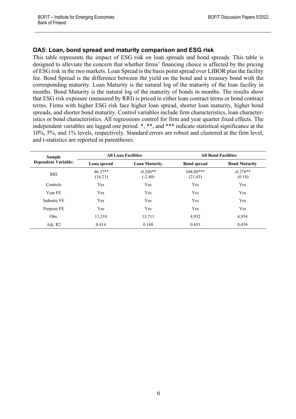### **OA5: Loan, bond spread and maturity comparison and ESG risk**

This table represents the impact of ESG risk on loan spreads and bond spreads. This table is designed to alleviate the concern that whether firms' financing choice is affected by the pricing of ESG risk in the two markets. Loan Spread is the basis point spread over LIBOR plus the facility fee. Bond Spread is the difference between the yield on the bond and a treasury bond with the corresponding maturity. Loan Maturity is the natural log of the maturity of the loan facility in months. Bond Maturity is the natural log of the maturity of bonds in months. The results show that ESG risk exposure (measured by RRI) is priced in either loan contract terms or bond contract terms. Firms with higher ESG risk face higher loan spread, shorter loan maturity, higher bond spreads, and shorter bond maturity. Control variables include firm characteristics, loan characteristics or bond characteristics. All regressions control for firm and year quarter fixed effects. The independent variables are lagged one period. \*, \*\*, and \*\*\* indicate statistical significance at the 10%, 5%, and 1% levels, respectively. Standard errors are robust and clustered at the firm level, and t-statistics are reported in parentheses.

| <b>Sample</b>              |                      | <b>All Loan Facilities</b> | <b>All Bond Facilities</b> |                      |  |
|----------------------------|----------------------|----------------------------|----------------------------|----------------------|--|
| <b>Dependent Variable:</b> | Loan spread          | <b>Loan Maturity</b>       | <b>Bond spread</b>         | <b>Bond Maturity</b> |  |
| <b>RRI</b>                 | $46.57**$<br>(16.23) | $-0.280**$<br>$(-2.40)$    | $108.09***$<br>(21.43)     | $-0.278**$<br>(0.10) |  |
| Controls                   | Yes                  | Yes                        | Yes                        | Yes                  |  |
| Year FE                    | Yes                  | Yes                        | Yes                        | Yes                  |  |
| <b>Industry FE</b>         | Yes                  | Yes                        | Yes                        | Yes                  |  |
| Purpose FE                 | Yes                  | Yes                        | Yes                        | Yes                  |  |
| Obs.                       | 11,310               | 13,711                     | 4,932                      | 4,954                |  |
| Adj. R2                    | 0.414                | 0.148                      | 0.653                      | 0.039                |  |